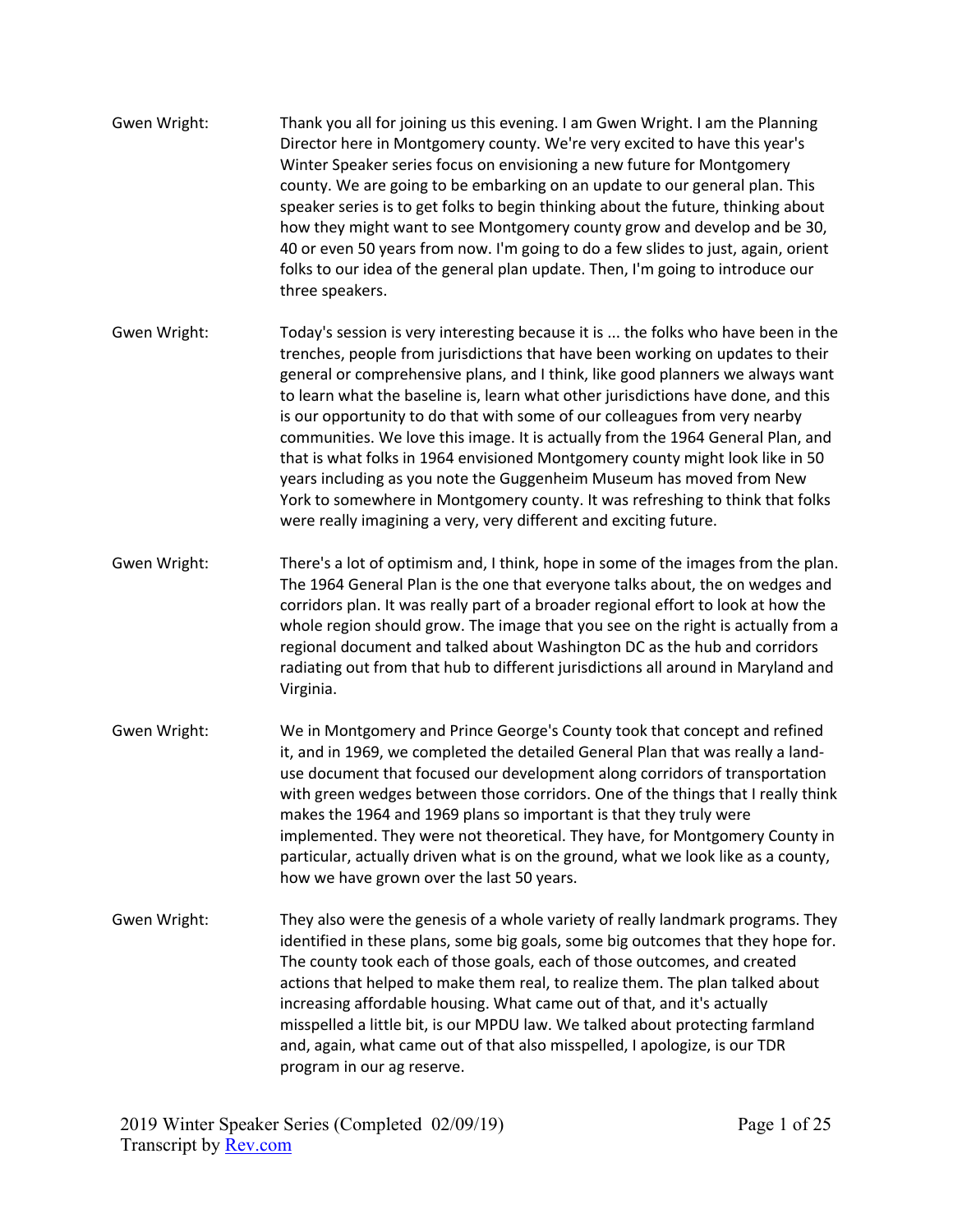- Gwen Wright: Thank you all for joining us this evening. I am Gwen Wright. I am the Planning Director here in Montgomery county. We're very excited to have this year's Winter Speaker series focus on envisioning a new future for Montgomery county. We are going to be embarking on an update to our general plan. This speaker series is to get folks to begin thinking about the future, thinking about how they might want to see Montgomery county grow and develop and be 30, 40 or even 50 years from now. I'm going to do a few slides to just, again, orient folks to our idea of the general plan update. Then, I'm going to introduce our three speakers.
- Gwen Wright: Today's session is very interesting because it is ... the folks who have been in the trenches, people from jurisdictions that have been working on updates to their general or comprehensive plans, and I think, like good planners we always want to learn what the baseline is, learn what other jurisdictions have done, and this is our opportunity to do that with some of our colleagues from very nearby communities. We love this image. It is actually from the 1964 General Plan, and that is what folks in 1964 envisioned Montgomery county might look like in 50 years including as you note the Guggenheim Museum has moved from New York to somewhere in Montgomery county. It was refreshing to think that folks were really imagining a very, very different and exciting future.
- Gwen Wright: There's a lot of optimism and, I think, hope in some of the images from the plan. The 1964 General Plan is the one that everyone talks about, the on wedges and corridors plan. It was really part of a broader regional effort to look at how the whole region should grow. The image that you see on the right is actually from a regional document and talked about Washington DC as the hub and corridors radiating out from that hub to different jurisdictions all around in Maryland and Virginia.
- Gwen Wright: We in Montgomery and Prince George's County took that concept and refined it, and in 1969, we completed the detailed General Plan that was really a landuse document that focused our development along corridors of transportation with green wedges between those corridors. One of the things that I really think makes the 1964 and 1969 plans so important is that they truly were implemented. They were not theoretical. They have, for Montgomery County in particular, actually driven what is on the ground, what we look like as a county, how we have grown over the last 50 years.
- Gwen Wright: They also were the genesis of a whole variety of really landmark programs. They identified in these plans, some big goals, some big outcomes that they hope for. The county took each of those goals, each of those outcomes, and created actions that helped to make them real, to realize them. The plan talked about increasing affordable housing. What came out of that, and it's actually misspelled a little bit, is our MPDU law. We talked about protecting farmland and, again, what came out of that also misspelled, I apologize, is our TDR program in our ag reserve.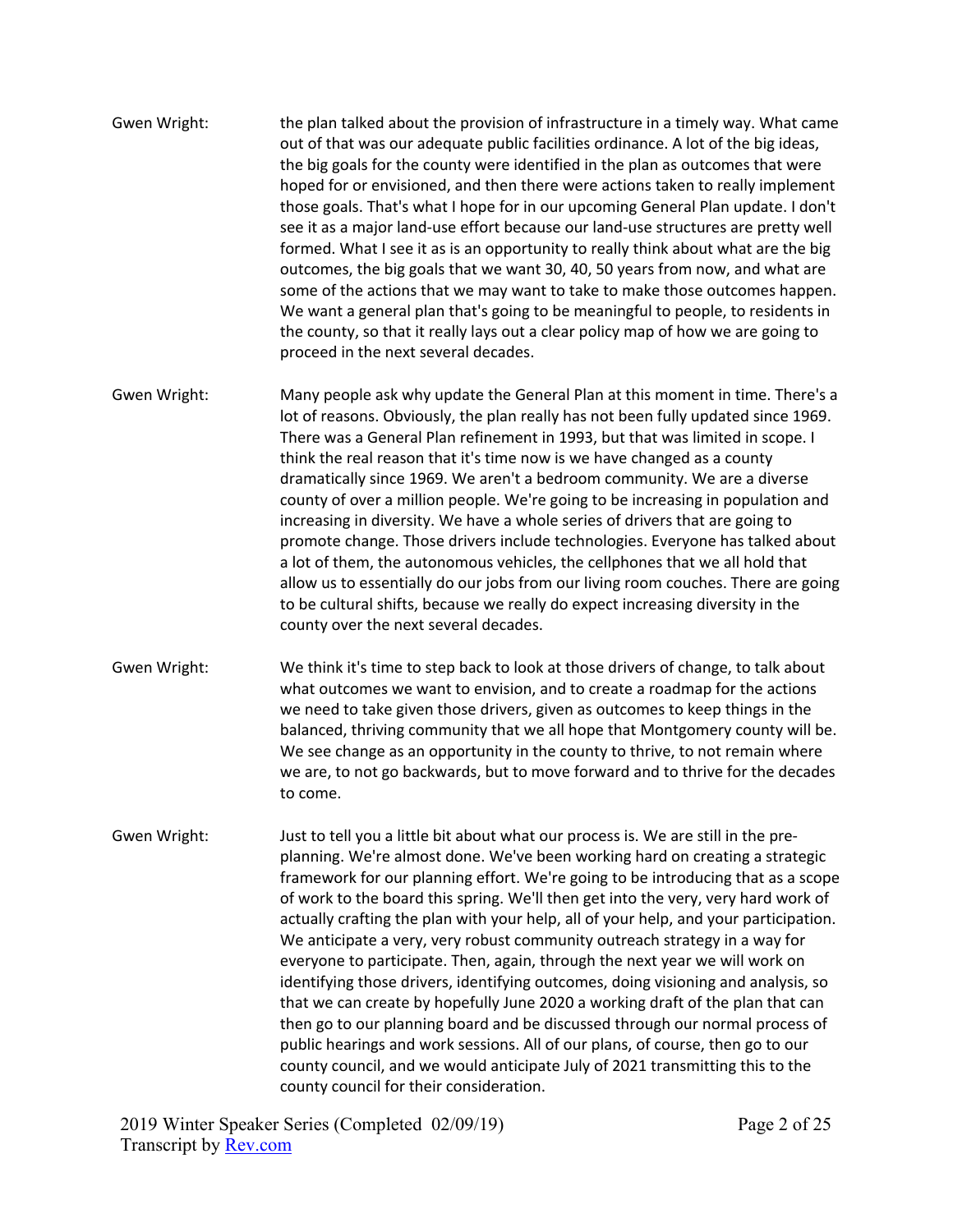- Gwen Wright: the plan talked about the provision of infrastructure in a timely way. What came out of that was our adequate public facilities ordinance. A lot of the big ideas, the big goals for the county were identified in the plan as outcomes that were hoped for or envisioned, and then there were actions taken to really implement those goals. That's what I hope for in our upcoming General Plan update. I don't see it as a major land-use effort because our land-use structures are pretty well formed. What I see it as is an opportunity to really think about what are the big outcomes, the big goals that we want 30, 40, 50 years from now, and what are some of the actions that we may want to take to make those outcomes happen. We want a general plan that's going to be meaningful to people, to residents in the county, so that it really lays out a clear policy map of how we are going to proceed in the next several decades.
- Gwen Wright: Many people ask why update the General Plan at this moment in time. There's a lot of reasons. Obviously, the plan really has not been fully updated since 1969. There was a General Plan refinement in 1993, but that was limited in scope. I think the real reason that it's time now is we have changed as a county dramatically since 1969. We aren't a bedroom community. We are a diverse county of over a million people. We're going to be increasing in population and increasing in diversity. We have a whole series of drivers that are going to promote change. Those drivers include technologies. Everyone has talked about a lot of them, the autonomous vehicles, the cellphones that we all hold that allow us to essentially do our jobs from our living room couches. There are going to be cultural shifts, because we really do expect increasing diversity in the county over the next several decades.
- Gwen Wright: We think it's time to step back to look at those drivers of change, to talk about what outcomes we want to envision, and to create a roadmap for the actions we need to take given those drivers, given as outcomes to keep things in the balanced, thriving community that we all hope that Montgomery county will be. We see change as an opportunity in the county to thrive, to not remain where we are, to not go backwards, but to move forward and to thrive for the decades to come.
- Gwen Wright: Just to tell you a little bit about what our process is. We are still in the preplanning. We're almost done. We've been working hard on creating a strategic framework for our planning effort. We're going to be introducing that as a scope of work to the board this spring. We'll then get into the very, very hard work of actually crafting the plan with your help, all of your help, and your participation. We anticipate a very, very robust community outreach strategy in a way for everyone to participate. Then, again, through the next year we will work on identifying those drivers, identifying outcomes, doing visioning and analysis, so that we can create by hopefully June 2020 a working draft of the plan that can then go to our planning board and be discussed through our normal process of public hearings and work sessions. All of our plans, of course, then go to our county council, and we would anticipate July of 2021 transmitting this to the county council for their consideration.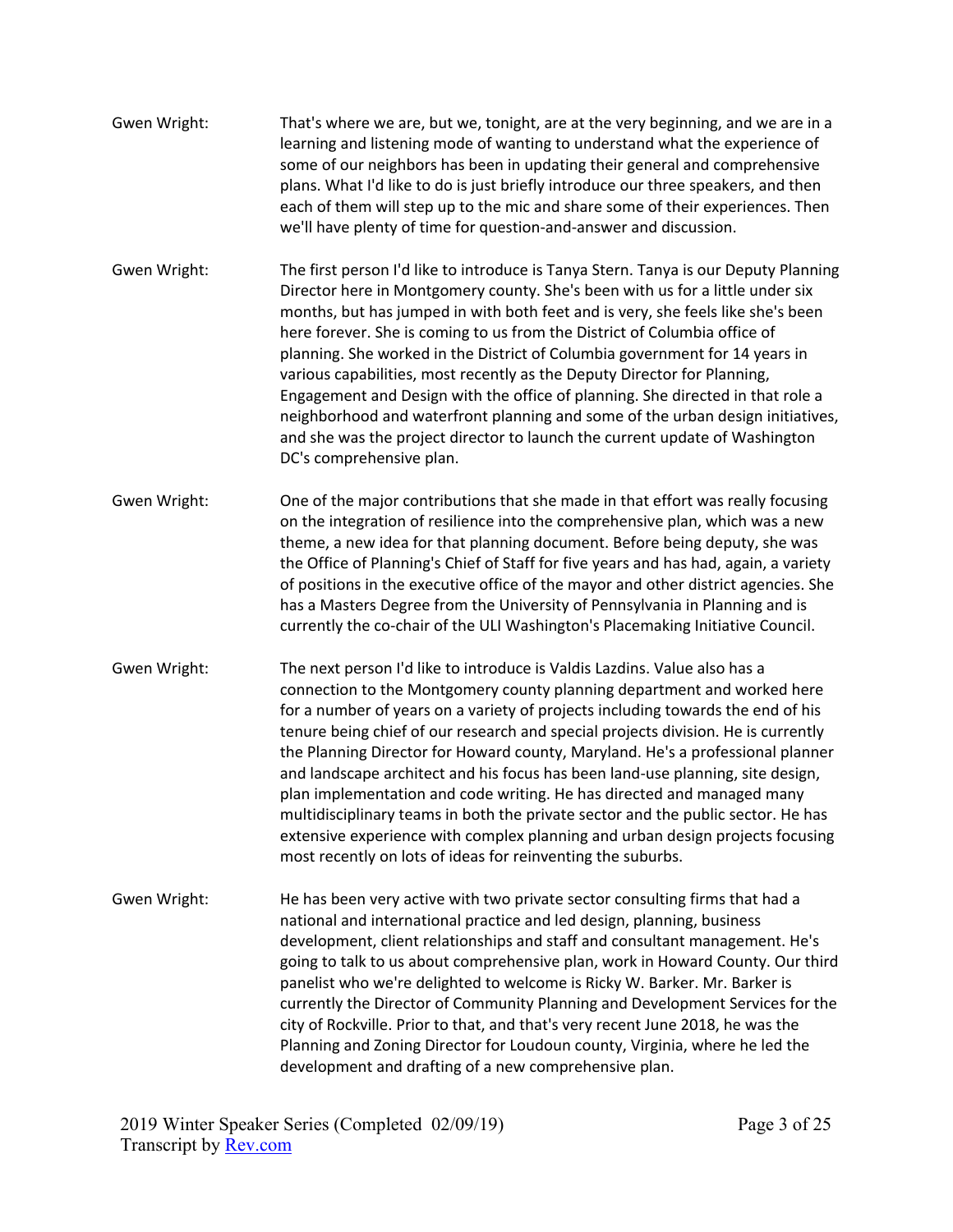| Gwen Wright: | That's where we are, but we, tonight, are at the very beginning, and we are in a<br>learning and listening mode of wanting to understand what the experience of                                                                                   |
|--------------|---------------------------------------------------------------------------------------------------------------------------------------------------------------------------------------------------------------------------------------------------|
|              | some of our neighbors has been in updating their general and comprehensive<br>plans. What I'd like to do is just briefly introduce our three speakers, and then<br>each of them will step up to the mic and share some of their experiences. Then |
|              | we'll have plenty of time for question-and-answer and discussion.                                                                                                                                                                                 |

- Gwen Wright: The first person I'd like to introduce is Tanya Stern. Tanya is our Deputy Planning Director here in Montgomery county. She's been with us for a little under six months, but has jumped in with both feet and is very, she feels like she's been here forever. She is coming to us from the District of Columbia office of planning. She worked in the District of Columbia government for 14 years in various capabilities, most recently as the Deputy Director for Planning, Engagement and Design with the office of planning. She directed in that role a neighborhood and waterfront planning and some of the urban design initiatives, and she was the project director to launch the current update of Washington DC's comprehensive plan.
- Gwen Wright: One of the major contributions that she made in that effort was really focusing on the integration of resilience into the comprehensive plan, which was a new theme, a new idea for that planning document. Before being deputy, she was the Office of Planning's Chief of Staff for five years and has had, again, a variety of positions in the executive office of the mayor and other district agencies. She has a Masters Degree from the University of Pennsylvania in Planning and is currently the co-chair of the ULI Washington's Placemaking Initiative Council.
- Gwen Wright: The next person I'd like to introduce is Valdis Lazdins. Value also has a connection to the Montgomery county planning department and worked here for a number of years on a variety of projects including towards the end of his tenure being chief of our research and special projects division. He is currently the Planning Director for Howard county, Maryland. He's a professional planner and landscape architect and his focus has been land-use planning, site design, plan implementation and code writing. He has directed and managed many multidisciplinary teams in both the private sector and the public sector. He has extensive experience with complex planning and urban design projects focusing most recently on lots of ideas for reinventing the suburbs.
- Gwen Wright: He has been very active with two private sector consulting firms that had a national and international practice and led design, planning, business development, client relationships and staff and consultant management. He's going to talk to us about comprehensive plan, work in Howard County. Our third panelist who we're delighted to welcome is Ricky W. Barker. Mr. Barker is currently the Director of Community Planning and Development Services for the city of Rockville. Prior to that, and that's very recent June 2018, he was the Planning and Zoning Director for Loudoun county, Virginia, where he led the development and drafting of a new comprehensive plan.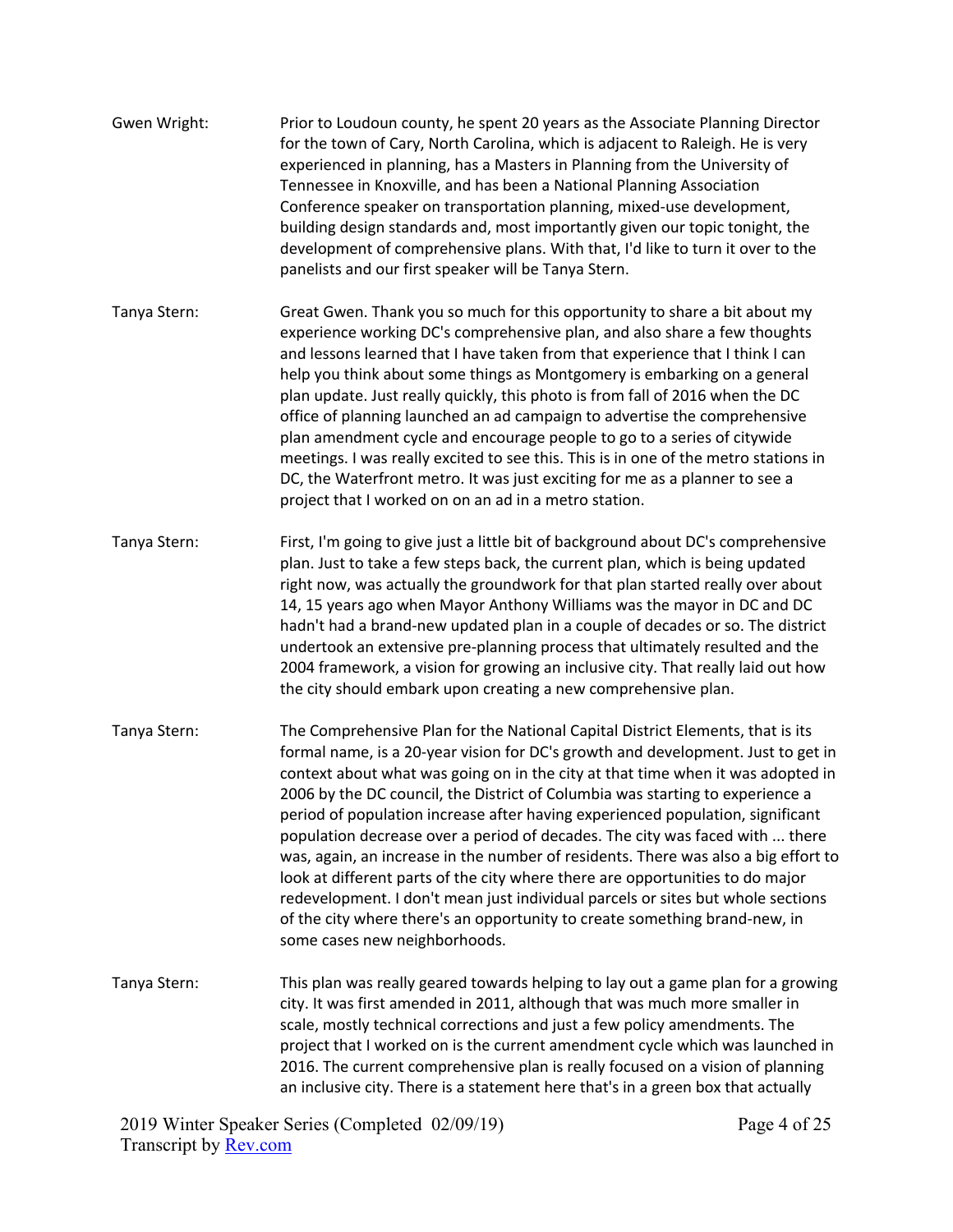| Gwen Wright: | Prior to Loudoun county, he spent 20 years as the Associate Planning Director<br>for the town of Cary, North Carolina, which is adjacent to Raleigh. He is very<br>experienced in planning, has a Masters in Planning from the University of<br>Tennessee in Knoxville, and has been a National Planning Association |
|--------------|----------------------------------------------------------------------------------------------------------------------------------------------------------------------------------------------------------------------------------------------------------------------------------------------------------------------|
|              | Conference speaker on transportation planning, mixed-use development,<br>building design standards and, most importantly given our topic tonight, the<br>development of comprehensive plans. With that, I'd like to turn it over to the<br>panelists and our first speaker will be Tanya Stern.                      |

- Tanya Stern: Great Gwen. Thank you so much for this opportunity to share a bit about my experience working DC's comprehensive plan, and also share a few thoughts and lessons learned that I have taken from that experience that I think I can help you think about some things as Montgomery is embarking on a general plan update. Just really quickly, this photo is from fall of 2016 when the DC office of planning launched an ad campaign to advertise the comprehensive plan amendment cycle and encourage people to go to a series of citywide meetings. I was really excited to see this. This is in one of the metro stations in DC, the Waterfront metro. It was just exciting for me as a planner to see a project that I worked on on an ad in a metro station.
- Tanya Stern: First, I'm going to give just a little bit of background about DC's comprehensive plan. Just to take a few steps back, the current plan, which is being updated right now, was actually the groundwork for that plan started really over about 14, 15 years ago when Mayor Anthony Williams was the mayor in DC and DC hadn't had a brand-new updated plan in a couple of decades or so. The district undertook an extensive pre-planning process that ultimately resulted and the 2004 framework, a vision for growing an inclusive city. That really laid out how the city should embark upon creating a new comprehensive plan.
- Tanya Stern: The Comprehensive Plan for the National Capital District Elements, that is its formal name, is a 20-year vision for DC's growth and development. Just to get in context about what was going on in the city at that time when it was adopted in 2006 by the DC council, the District of Columbia was starting to experience a period of population increase after having experienced population, significant population decrease over a period of decades. The city was faced with ... there was, again, an increase in the number of residents. There was also a big effort to look at different parts of the city where there are opportunities to do major redevelopment. I don't mean just individual parcels or sites but whole sections of the city where there's an opportunity to create something brand-new, in some cases new neighborhoods.
- Tanya Stern: This plan was really geared towards helping to lay out a game plan for a growing city. It was first amended in 2011, although that was much more smaller in scale, mostly technical corrections and just a few policy amendments. The project that I worked on is the current amendment cycle which was launched in 2016. The current comprehensive plan is really focused on a vision of planning an inclusive city. There is a statement here that's in a green box that actually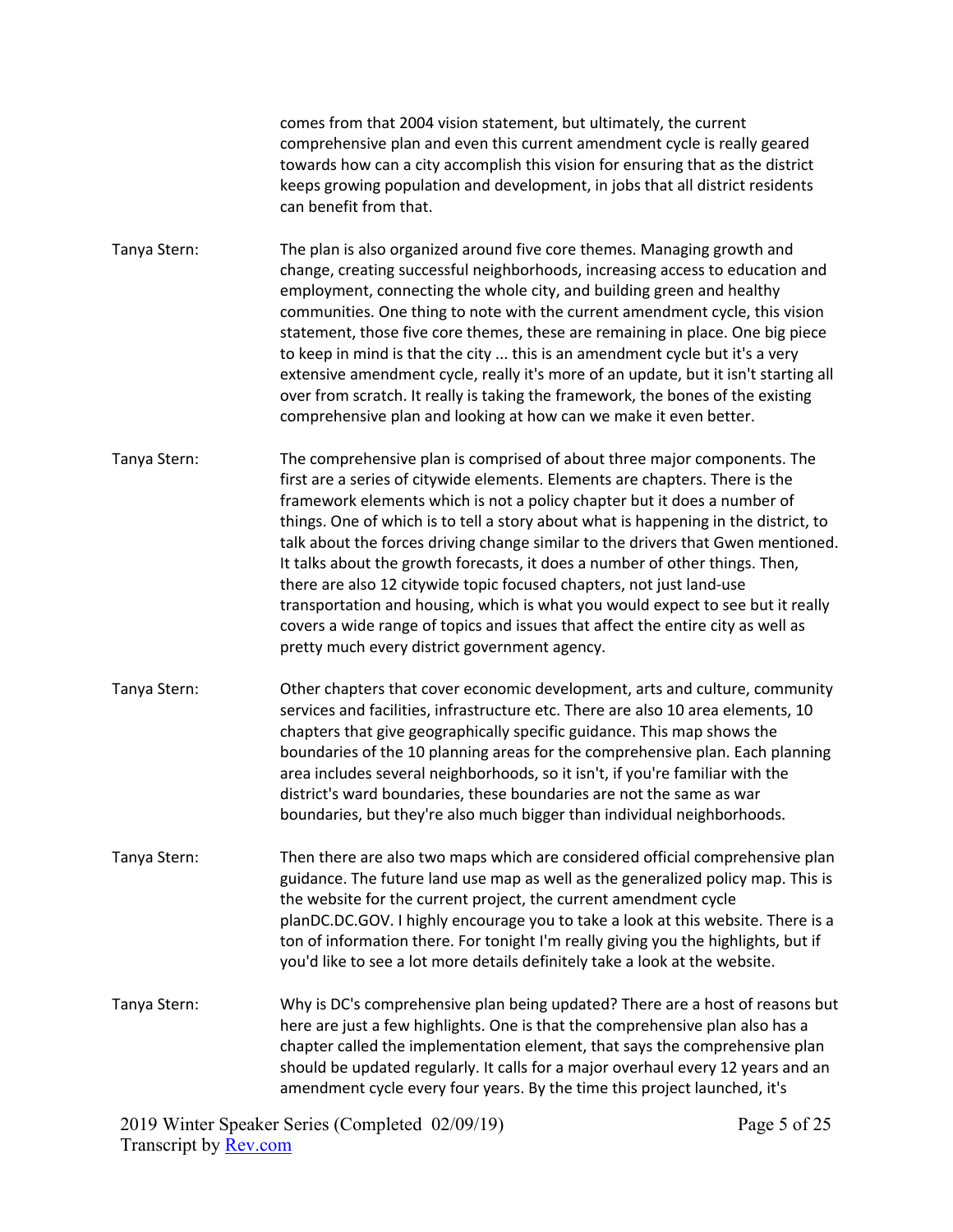comes from that 2004 vision statement, but ultimately, the current comprehensive plan and even this current amendment cycle is really geared towards how can a city accomplish this vision for ensuring that as the district keeps growing population and development, in jobs that all district residents can benefit from that.

Tanya Stern: The plan is also organized around five core themes. Managing growth and change, creating successful neighborhoods, increasing access to education and employment, connecting the whole city, and building green and healthy communities. One thing to note with the current amendment cycle, this vision statement, those five core themes, these are remaining in place. One big piece to keep in mind is that the city ... this is an amendment cycle but it's a very extensive amendment cycle, really it's more of an update, but it isn't starting all over from scratch. It really is taking the framework, the bones of the existing comprehensive plan and looking at how can we make it even better.

Tanya Stern: The comprehensive plan is comprised of about three major components. The first are a series of citywide elements. Elements are chapters. There is the framework elements which is not a policy chapter but it does a number of things. One of which is to tell a story about what is happening in the district, to talk about the forces driving change similar to the drivers that Gwen mentioned. It talks about the growth forecasts, it does a number of other things. Then, there are also 12 citywide topic focused chapters, not just land-use transportation and housing, which is what you would expect to see but it really covers a wide range of topics and issues that affect the entire city as well as pretty much every district government agency.

- Tanya Stern: Other chapters that cover economic development, arts and culture, community services and facilities, infrastructure etc. There are also 10 area elements, 10 chapters that give geographically specific guidance. This map shows the boundaries of the 10 planning areas for the comprehensive plan. Each planning area includes several neighborhoods, so it isn't, if you're familiar with the district's ward boundaries, these boundaries are not the same as war boundaries, but they're also much bigger than individual neighborhoods.
- Tanya Stern: Then there are also two maps which are considered official comprehensive plan guidance. The future land use map as well as the generalized policy map. This is the website for the current project, the current amendment cycle planDC.DC.GOV. I highly encourage you to take a look at this website. There is a ton of information there. For tonight I'm really giving you the highlights, but if you'd like to see a lot more details definitely take a look at the website.
- Tanya Stern: Why is DC's comprehensive plan being updated? There are a host of reasons but here are just a few highlights. One is that the comprehensive plan also has a chapter called the implementation element, that says the comprehensive plan should be updated regularly. It calls for a major overhaul every 12 years and an amendment cycle every four years. By the time this project launched, it's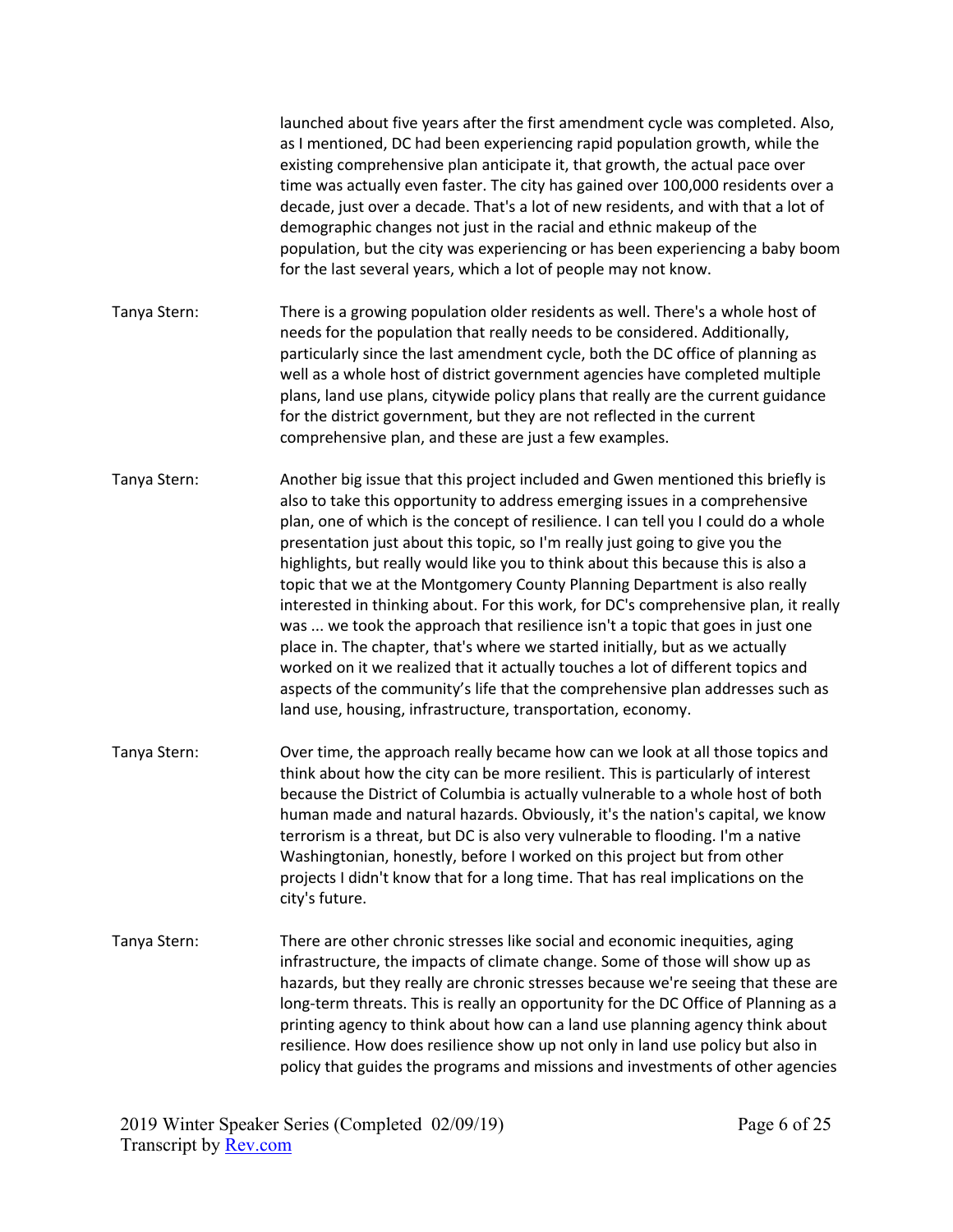|              | launched about five years after the first amendment cycle was completed. Also,<br>as I mentioned, DC had been experiencing rapid population growth, while the<br>existing comprehensive plan anticipate it, that growth, the actual pace over<br>time was actually even faster. The city has gained over 100,000 residents over a<br>decade, just over a decade. That's a lot of new residents, and with that a lot of<br>demographic changes not just in the racial and ethnic makeup of the<br>population, but the city was experiencing or has been experiencing a baby boom<br>for the last several years, which a lot of people may not know.                                                                                                                                                                                                                                                                                                                                               |
|--------------|--------------------------------------------------------------------------------------------------------------------------------------------------------------------------------------------------------------------------------------------------------------------------------------------------------------------------------------------------------------------------------------------------------------------------------------------------------------------------------------------------------------------------------------------------------------------------------------------------------------------------------------------------------------------------------------------------------------------------------------------------------------------------------------------------------------------------------------------------------------------------------------------------------------------------------------------------------------------------------------------------|
| Tanya Stern: | There is a growing population older residents as well. There's a whole host of<br>needs for the population that really needs to be considered. Additionally,<br>particularly since the last amendment cycle, both the DC office of planning as<br>well as a whole host of district government agencies have completed multiple<br>plans, land use plans, citywide policy plans that really are the current guidance<br>for the district government, but they are not reflected in the current<br>comprehensive plan, and these are just a few examples.                                                                                                                                                                                                                                                                                                                                                                                                                                          |
| Tanya Stern: | Another big issue that this project included and Gwen mentioned this briefly is<br>also to take this opportunity to address emerging issues in a comprehensive<br>plan, one of which is the concept of resilience. I can tell you I could do a whole<br>presentation just about this topic, so I'm really just going to give you the<br>highlights, but really would like you to think about this because this is also a<br>topic that we at the Montgomery County Planning Department is also really<br>interested in thinking about. For this work, for DC's comprehensive plan, it really<br>was  we took the approach that resilience isn't a topic that goes in just one<br>place in. The chapter, that's where we started initially, but as we actually<br>worked on it we realized that it actually touches a lot of different topics and<br>aspects of the community's life that the comprehensive plan addresses such as<br>land use, housing, infrastructure, transportation, economy. |
| Tanya Stern: | Over time, the approach really became how can we look at all those topics and<br>think about how the city can be more resilient. This is particularly of interest<br>because the District of Columbia is actually vulnerable to a whole host of both<br>human made and natural hazards. Obviously, it's the nation's capital, we know<br>terrorism is a threat, but DC is also very vulnerable to flooding. I'm a native<br>Washingtonian, honestly, before I worked on this project but from other<br>projects I didn't know that for a long time. That has real implications on the<br>city's future.                                                                                                                                                                                                                                                                                                                                                                                          |
| Tanya Stern: | There are other chronic stresses like social and economic inequities, aging<br>infrastructure, the impacts of climate change. Some of those will show up as<br>hazards, but they really are chronic stresses because we're seeing that these are<br>long-term threats. This is really an opportunity for the DC Office of Planning as a<br>printing agency to think about how can a land use planning agency think about<br>resilience. How does resilience show up not only in land use policy but also in<br>policy that guides the programs and missions and investments of other agencies                                                                                                                                                                                                                                                                                                                                                                                                    |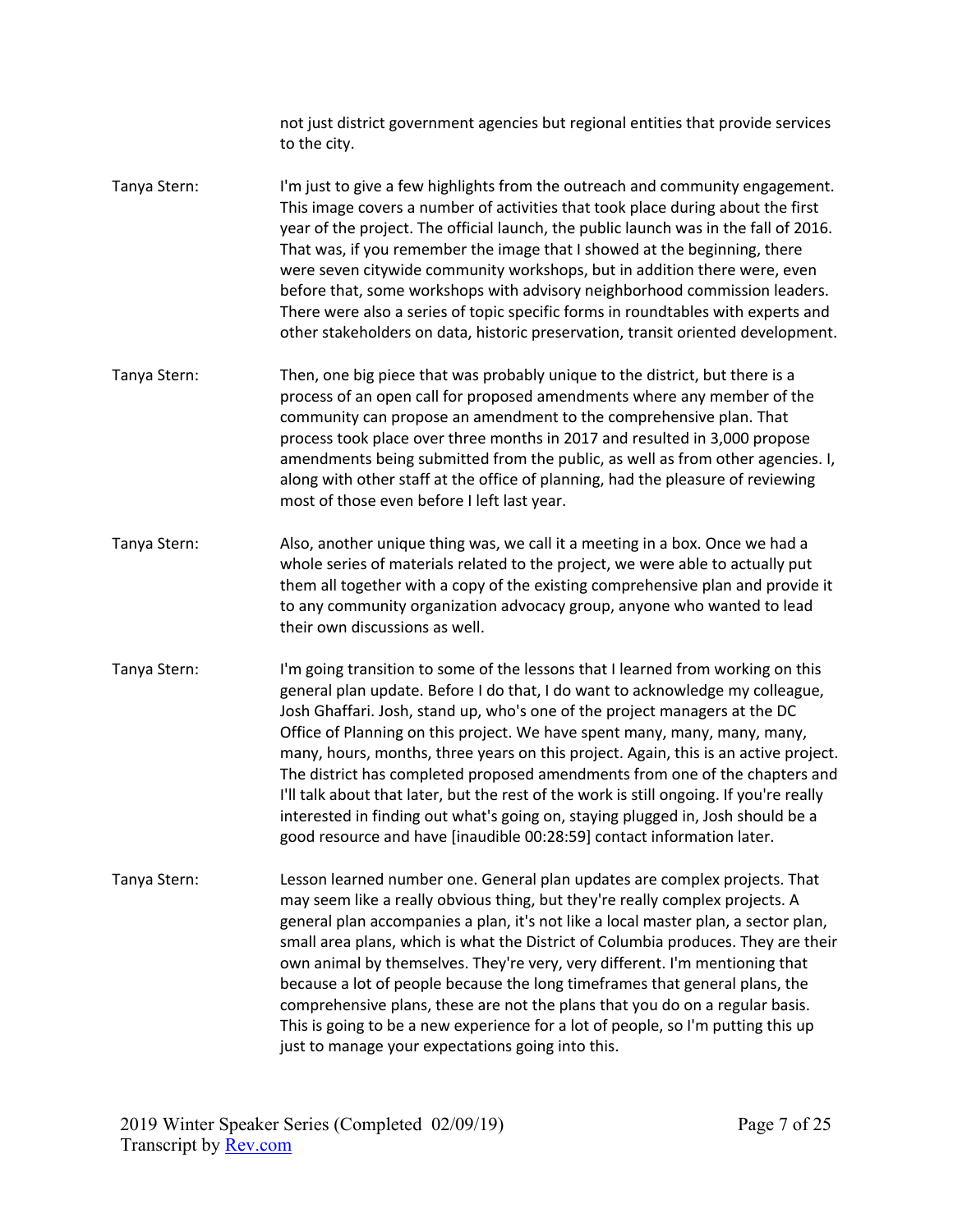not just district government agencies but regional entities that provide services to the city.

- Tanya Stern: I'm just to give a few highlights from the outreach and community engagement. This image covers a number of activities that took place during about the first year of the project. The official launch, the public launch was in the fall of 2016. That was, if you remember the image that I showed at the beginning, there were seven citywide community workshops, but in addition there were, even before that, some workshops with advisory neighborhood commission leaders. There were also a series of topic specific forms in roundtables with experts and other stakeholders on data, historic preservation, transit oriented development.
- Tanya Stern: Then, one big piece that was probably unique to the district, but there is a process of an open call for proposed amendments where any member of the community can propose an amendment to the comprehensive plan. That process took place over three months in 2017 and resulted in 3,000 propose amendments being submitted from the public, as well as from other agencies. I, along with other staff at the office of planning, had the pleasure of reviewing most of those even before I left last year.
- Tanya Stern: Also, another unique thing was, we call it a meeting in a box. Once we had a whole series of materials related to the project, we were able to actually put them all together with a copy of the existing comprehensive plan and provide it to any community organization advocacy group, anyone who wanted to lead their own discussions as well.
- Tanya Stern: I'm going transition to some of the lessons that I learned from working on this general plan update. Before I do that, I do want to acknowledge my colleague, Josh Ghaffari. Josh, stand up, who's one of the project managers at the DC Office of Planning on this project. We have spent many, many, many, many, many, hours, months, three years on this project. Again, this is an active project. The district has completed proposed amendments from one of the chapters and I'll talk about that later, but the rest of the work is still ongoing. If you're really interested in finding out what's going on, staying plugged in, Josh should be a good resource and have [inaudible 00:28:59] contact information later.
- Tanya Stern: Lesson learned number one. General plan updates are complex projects. That may seem like a really obvious thing, but they're really complex projects. A general plan accompanies a plan, it's not like a local master plan, a sector plan, small area plans, which is what the District of Columbia produces. They are their own animal by themselves. They're very, very different. I'm mentioning that because a lot of people because the long timeframes that general plans, the comprehensive plans, these are not the plans that you do on a regular basis. This is going to be a new experience for a lot of people, so I'm putting this up just to manage your expectations going into this.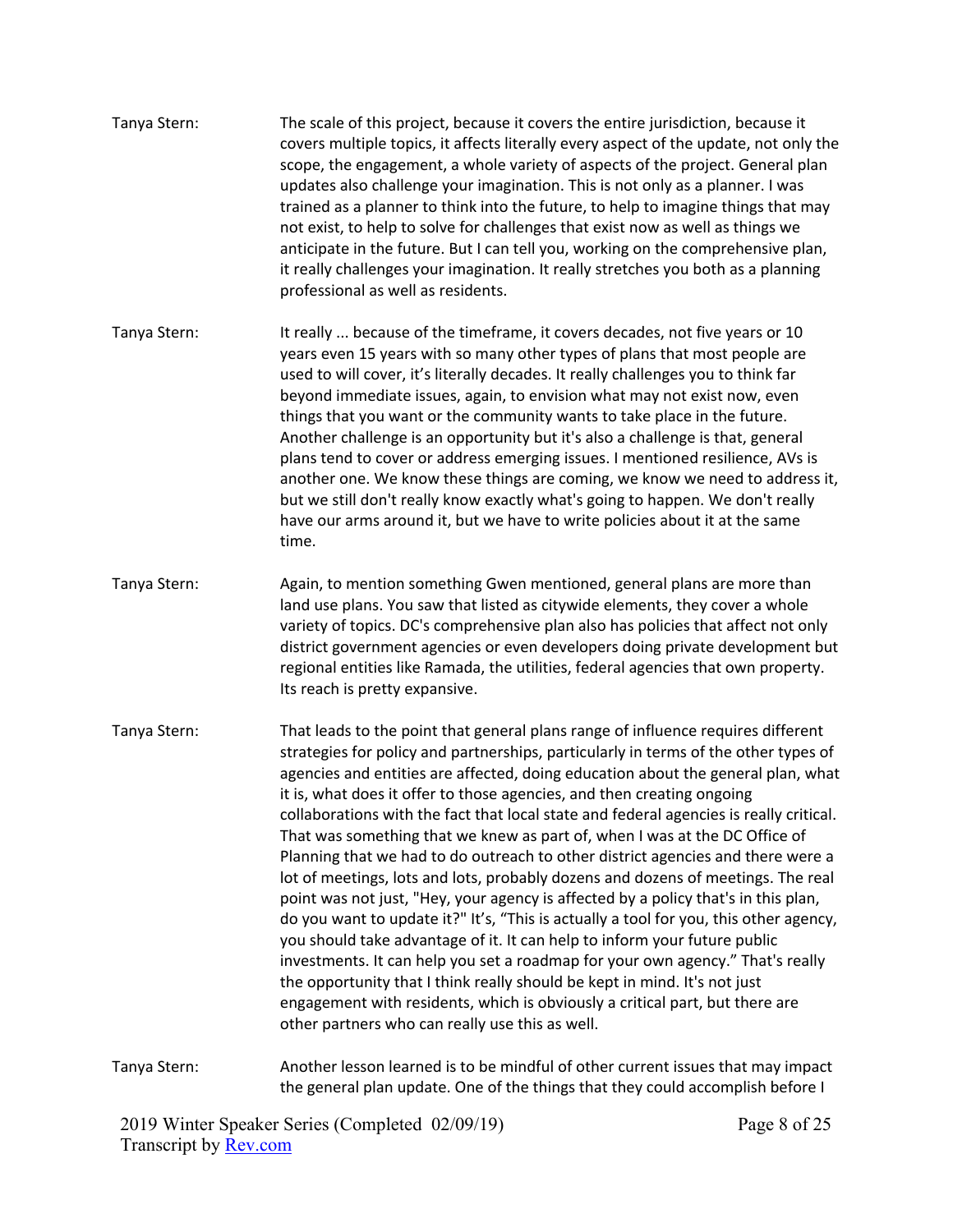- Tanya Stern: The scale of this project, because it covers the entire jurisdiction, because it covers multiple topics, it affects literally every aspect of the update, not only the scope, the engagement, a whole variety of aspects of the project. General plan updates also challenge your imagination. This is not only as a planner. I was trained as a planner to think into the future, to help to imagine things that may not exist, to help to solve for challenges that exist now as well as things we anticipate in the future. But I can tell you, working on the comprehensive plan, it really challenges your imagination. It really stretches you both as a planning professional as well as residents. Tanya Stern: It really ... because of the timeframe, it covers decades, not five years or 10 years even 15 years with so many other types of plans that most people are used to will cover, it's literally decades. It really challenges you to think far beyond immediate issues, again, to envision what may not exist now, even things that you want or the community wants to take place in the future. Another challenge is an opportunity but it's also a challenge is that, general plans tend to cover or address emerging issues. I mentioned resilience, AVs is
	- another one. We know these things are coming, we know we need to address it, but we still don't really know exactly what's going to happen. We don't really have our arms around it, but we have to write policies about it at the same time.
- Tanya Stern: Again, to mention something Gwen mentioned, general plans are more than land use plans. You saw that listed as citywide elements, they cover a whole variety of topics. DC's comprehensive plan also has policies that affect not only district government agencies or even developers doing private development but regional entities like Ramada, the utilities, federal agencies that own property. Its reach is pretty expansive.
- Tanya Stern: That leads to the point that general plans range of influence requires different strategies for policy and partnerships, particularly in terms of the other types of agencies and entities are affected, doing education about the general plan, what it is, what does it offer to those agencies, and then creating ongoing collaborations with the fact that local state and federal agencies is really critical. That was something that we knew as part of, when I was at the DC Office of Planning that we had to do outreach to other district agencies and there were a lot of meetings, lots and lots, probably dozens and dozens of meetings. The real point was not just, "Hey, your agency is affected by a policy that's in this plan, do you want to update it?" It's, "This is actually a tool for you, this other agency, you should take advantage of it. It can help to inform your future public investments. It can help you set a roadmap for your own agency." That's really the opportunity that I think really should be kept in mind. It's not just engagement with residents, which is obviously a critical part, but there are other partners who can really use this as well.
- Tanya Stern: Another lesson learned is to be mindful of other current issues that may impact the general plan update. One of the things that they could accomplish before I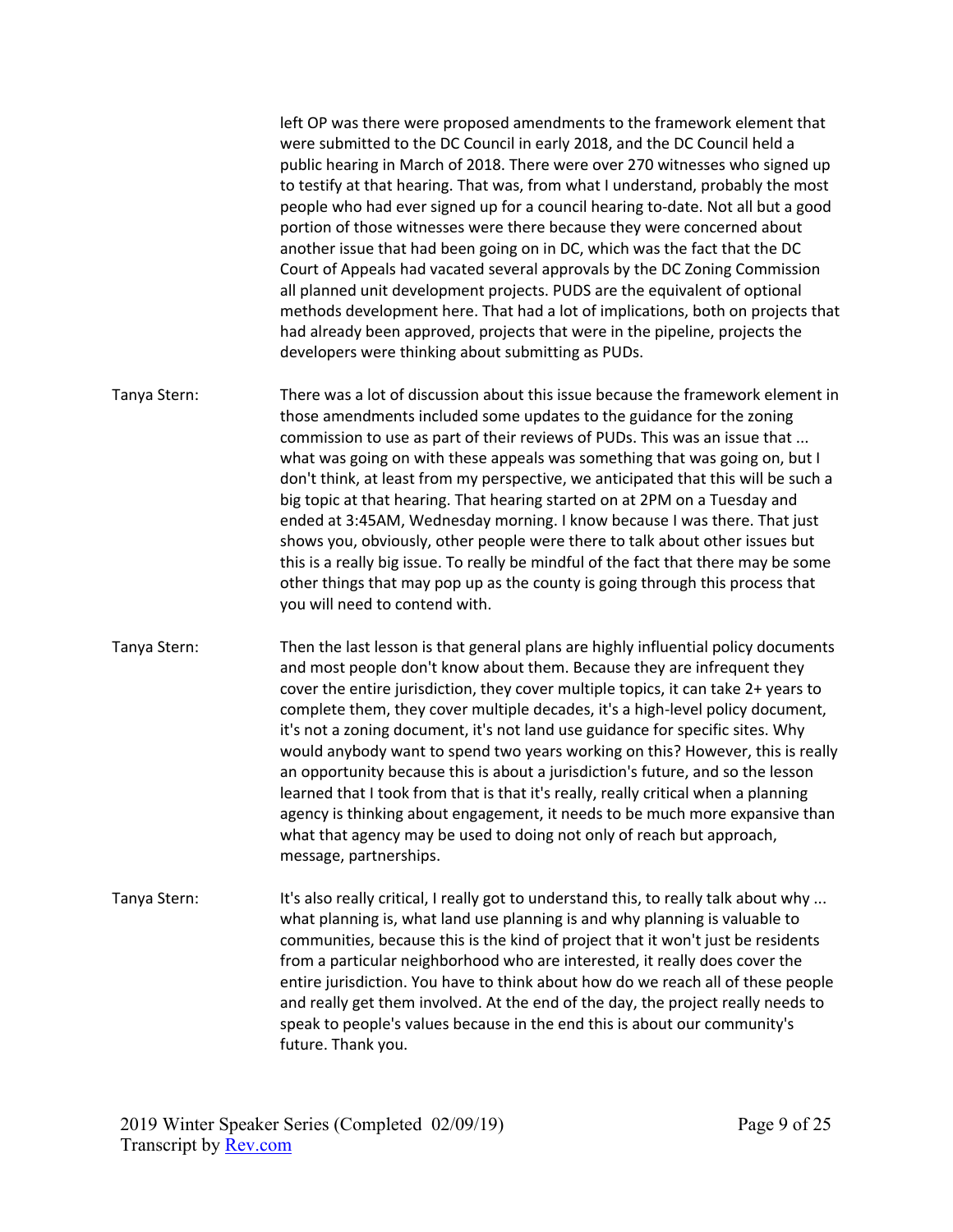left OP was there were proposed amendments to the framework element that were submitted to the DC Council in early 2018, and the DC Council held a public hearing in March of 2018. There were over 270 witnesses who signed up to testify at that hearing. That was, from what I understand, probably the most people who had ever signed up for a council hearing to-date. Not all but a good portion of those witnesses were there because they were concerned about another issue that had been going on in DC, which was the fact that the DC Court of Appeals had vacated several approvals by the DC Zoning Commission all planned unit development projects. PUDS are the equivalent of optional methods development here. That had a lot of implications, both on projects that had already been approved, projects that were in the pipeline, projects the developers were thinking about submitting as PUDs.

- Tanya Stern: There was a lot of discussion about this issue because the framework element in those amendments included some updates to the guidance for the zoning commission to use as part of their reviews of PUDs. This was an issue that ... what was going on with these appeals was something that was going on, but I don't think, at least from my perspective, we anticipated that this will be such a big topic at that hearing. That hearing started on at 2PM on a Tuesday and ended at 3:45AM, Wednesday morning. I know because I was there. That just shows you, obviously, other people were there to talk about other issues but this is a really big issue. To really be mindful of the fact that there may be some other things that may pop up as the county is going through this process that you will need to contend with.
- Tanya Stern: Then the last lesson is that general plans are highly influential policy documents and most people don't know about them. Because they are infrequent they cover the entire jurisdiction, they cover multiple topics, it can take 2+ years to complete them, they cover multiple decades, it's a high-level policy document, it's not a zoning document, it's not land use guidance for specific sites. Why would anybody want to spend two years working on this? However, this is really an opportunity because this is about a jurisdiction's future, and so the lesson learned that I took from that is that it's really, really critical when a planning agency is thinking about engagement, it needs to be much more expansive than what that agency may be used to doing not only of reach but approach, message, partnerships.
- Tanya Stern: It's also really critical, I really got to understand this, to really talk about why ... what planning is, what land use planning is and why planning is valuable to communities, because this is the kind of project that it won't just be residents from a particular neighborhood who are interested, it really does cover the entire jurisdiction. You have to think about how do we reach all of these people and really get them involved. At the end of the day, the project really needs to speak to people's values because in the end this is about our community's future. Thank you.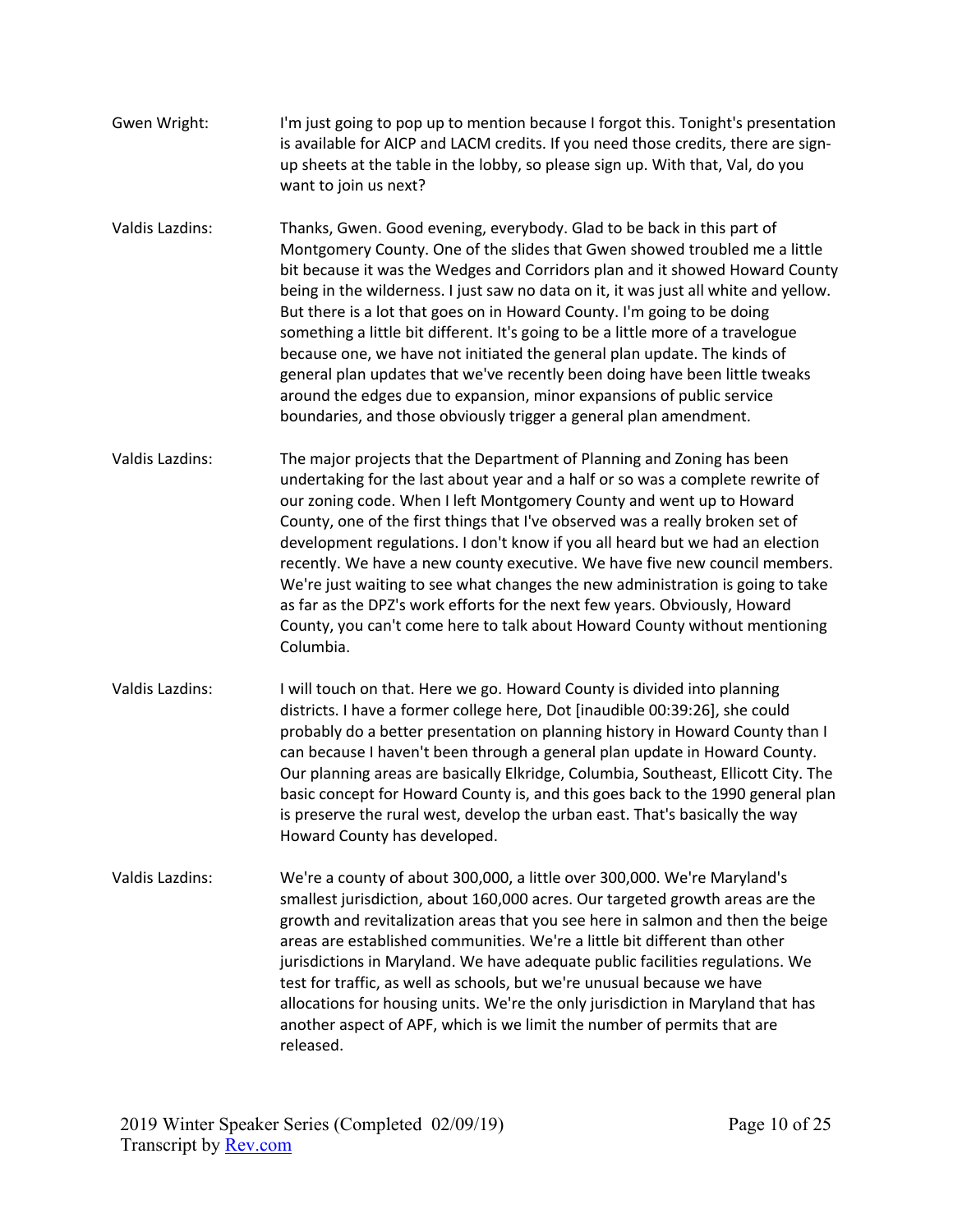- Gwen Wright: I'm just going to pop up to mention because I forgot this. Tonight's presentation is available for AICP and LACM credits. If you need those credits, there are signup sheets at the table in the lobby, so please sign up. With that, Val, do you want to join us next?
- Valdis Lazdins: Thanks, Gwen. Good evening, everybody. Glad to be back in this part of Montgomery County. One of the slides that Gwen showed troubled me a little bit because it was the Wedges and Corridors plan and it showed Howard County being in the wilderness. I just saw no data on it, it was just all white and yellow. But there is a lot that goes on in Howard County. I'm going to be doing something a little bit different. It's going to be a little more of a travelogue because one, we have not initiated the general plan update. The kinds of general plan updates that we've recently been doing have been little tweaks around the edges due to expansion, minor expansions of public service boundaries, and those obviously trigger a general plan amendment.
- Valdis Lazdins: The major projects that the Department of Planning and Zoning has been undertaking for the last about year and a half or so was a complete rewrite of our zoning code. When I left Montgomery County and went up to Howard County, one of the first things that I've observed was a really broken set of development regulations. I don't know if you all heard but we had an election recently. We have a new county executive. We have five new council members. We're just waiting to see what changes the new administration is going to take as far as the DPZ's work efforts for the next few years. Obviously, Howard County, you can't come here to talk about Howard County without mentioning Columbia.
- Valdis Lazdins: I will touch on that. Here we go. Howard County is divided into planning districts. I have a former college here, Dot [inaudible 00:39:26], she could probably do a better presentation on planning history in Howard County than I can because I haven't been through a general plan update in Howard County. Our planning areas are basically Elkridge, Columbia, Southeast, Ellicott City. The basic concept for Howard County is, and this goes back to the 1990 general plan is preserve the rural west, develop the urban east. That's basically the way Howard County has developed.
- Valdis Lazdins: We're a county of about 300,000, a little over 300,000. We're Maryland's smallest jurisdiction, about 160,000 acres. Our targeted growth areas are the growth and revitalization areas that you see here in salmon and then the beige areas are established communities. We're a little bit different than other jurisdictions in Maryland. We have adequate public facilities regulations. We test for traffic, as well as schools, but we're unusual because we have allocations for housing units. We're the only jurisdiction in Maryland that has another aspect of APF, which is we limit the number of permits that are released.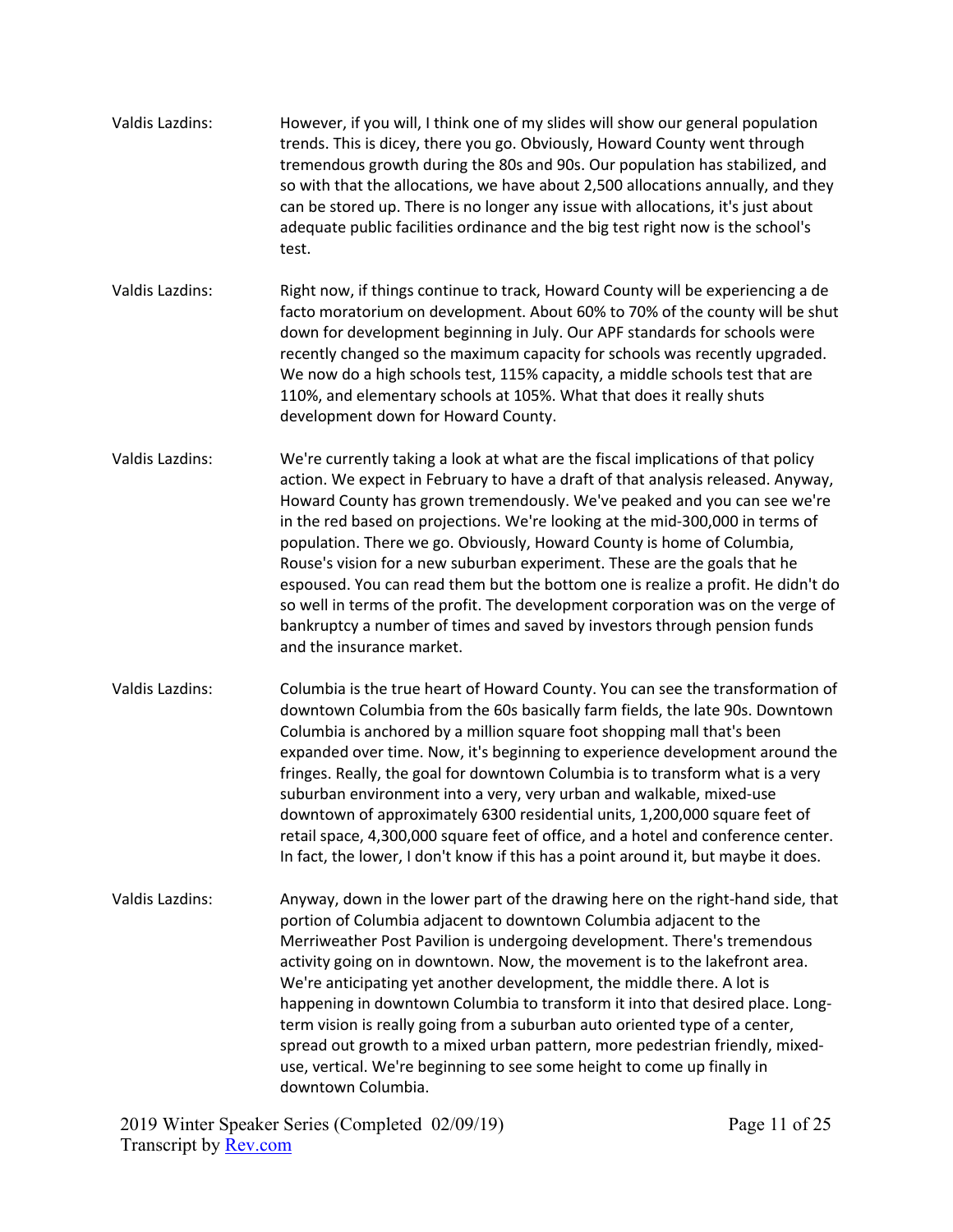| Valdis Lazdins: | However, if you will, I think one of my slides will show our general population<br>trends. This is dicey, there you go. Obviously, Howard County went through<br>tremendous growth during the 80s and 90s. Our population has stabilized, and<br>so with that the allocations, we have about 2,500 allocations annually, and they<br>can be stored up. There is no longer any issue with allocations, it's just about<br>adequate public facilities ordinance and the big test right now is the school's<br>test. |
|-----------------|-------------------------------------------------------------------------------------------------------------------------------------------------------------------------------------------------------------------------------------------------------------------------------------------------------------------------------------------------------------------------------------------------------------------------------------------------------------------------------------------------------------------|
|-----------------|-------------------------------------------------------------------------------------------------------------------------------------------------------------------------------------------------------------------------------------------------------------------------------------------------------------------------------------------------------------------------------------------------------------------------------------------------------------------------------------------------------------------|

- Valdis Lazdins: Right now, if things continue to track, Howard County will be experiencing a de facto moratorium on development. About 60% to 70% of the county will be shut down for development beginning in July. Our APF standards for schools were recently changed so the maximum capacity for schools was recently upgraded. We now do a high schools test, 115% capacity, a middle schools test that are 110%, and elementary schools at 105%. What that does it really shuts development down for Howard County.
- Valdis Lazdins: We're currently taking a look at what are the fiscal implications of that policy action. We expect in February to have a draft of that analysis released. Anyway, Howard County has grown tremendously. We've peaked and you can see we're in the red based on projections. We're looking at the mid-300,000 in terms of population. There we go. Obviously, Howard County is home of Columbia, Rouse's vision for a new suburban experiment. These are the goals that he espoused. You can read them but the bottom one is realize a profit. He didn't do so well in terms of the profit. The development corporation was on the verge of bankruptcy a number of times and saved by investors through pension funds and the insurance market.
- Valdis Lazdins: Columbia is the true heart of Howard County. You can see the transformation of downtown Columbia from the 60s basically farm fields, the late 90s. Downtown Columbia is anchored by a million square foot shopping mall that's been expanded over time. Now, it's beginning to experience development around the fringes. Really, the goal for downtown Columbia is to transform what is a very suburban environment into a very, very urban and walkable, mixed-use downtown of approximately 6300 residential units, 1,200,000 square feet of retail space, 4,300,000 square feet of office, and a hotel and conference center. In fact, the lower, I don't know if this has a point around it, but maybe it does.
- Valdis Lazdins: Anyway, down in the lower part of the drawing here on the right-hand side, that portion of Columbia adjacent to downtown Columbia adjacent to the Merriweather Post Pavilion is undergoing development. There's tremendous activity going on in downtown. Now, the movement is to the lakefront area. We're anticipating yet another development, the middle there. A lot is happening in downtown Columbia to transform it into that desired place. Longterm vision is really going from a suburban auto oriented type of a center, spread out growth to a mixed urban pattern, more pedestrian friendly, mixeduse, vertical. We're beginning to see some height to come up finally in downtown Columbia.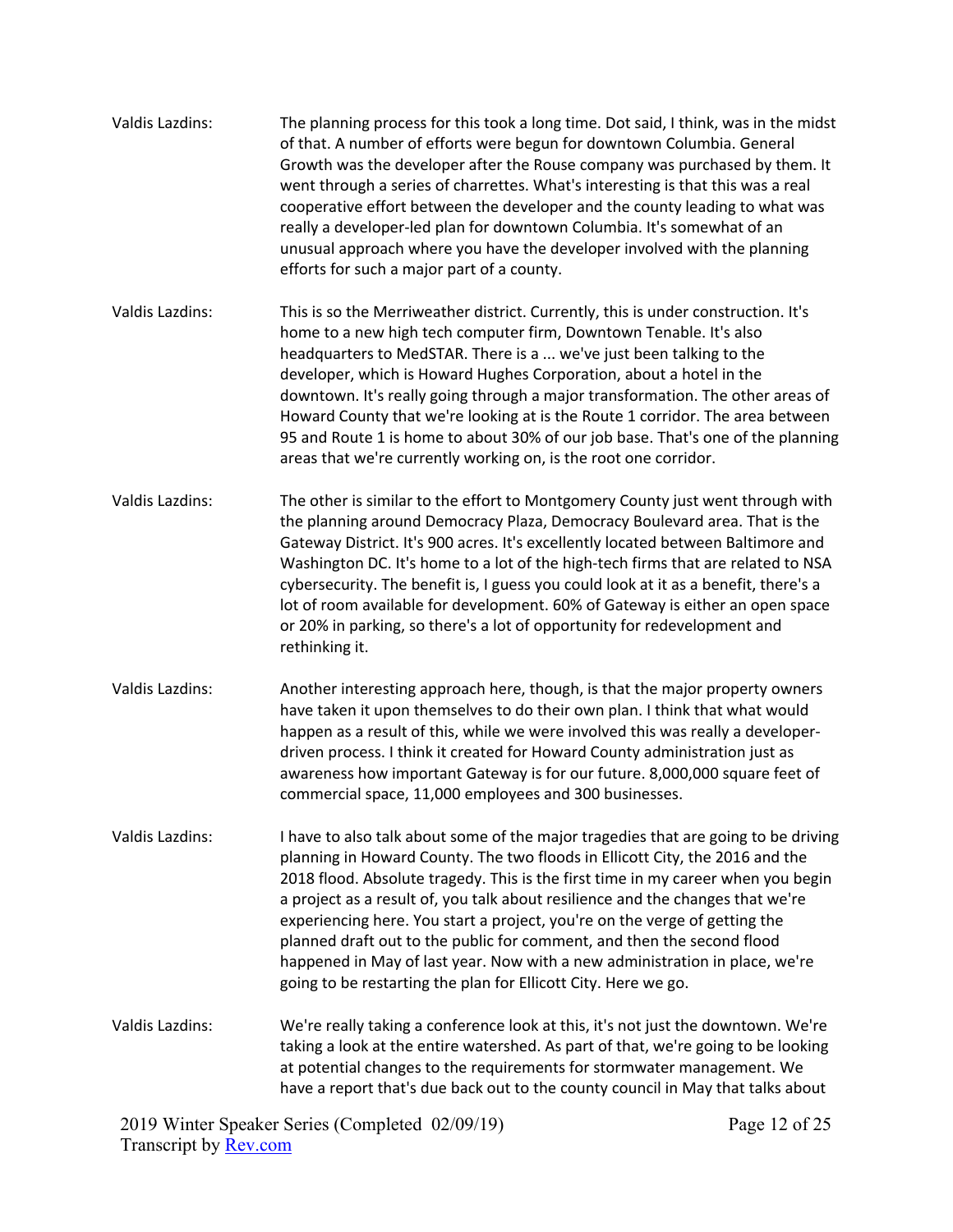| <b>Valdis Lazdins:</b> | The planning process for this took a long time. Dot said, I think, was in the midst<br>of that. A number of efforts were begun for downtown Columbia. General<br>Growth was the developer after the Rouse company was purchased by them. It<br>went through a series of charrettes. What's interesting is that this was a real<br>cooperative effort between the developer and the county leading to what was<br>really a developer-led plan for downtown Columbia. It's somewhat of an<br>unusual approach where you have the developer involved with the planning<br>efforts for such a major part of a county.                                 |
|------------------------|---------------------------------------------------------------------------------------------------------------------------------------------------------------------------------------------------------------------------------------------------------------------------------------------------------------------------------------------------------------------------------------------------------------------------------------------------------------------------------------------------------------------------------------------------------------------------------------------------------------------------------------------------|
| Valdis Lazdins:        | This is so the Merriweather district. Currently, this is under construction. It's<br>home to a new high tech computer firm, Downtown Tenable. It's also<br>headquarters to MedSTAR. There is a  we've just been talking to the<br>developer, which is Howard Hughes Corporation, about a hotel in the<br>downtown. It's really going through a major transformation. The other areas of<br>Howard County that we're looking at is the Route 1 corridor. The area between<br>95 and Route 1 is home to about 30% of our job base. That's one of the planning<br>areas that we're currently working on, is the root one corridor.                   |
| <b>Valdis Lazdins:</b> | The other is similar to the effort to Montgomery County just went through with<br>the planning around Democracy Plaza, Democracy Boulevard area. That is the<br>Gateway District. It's 900 acres. It's excellently located between Baltimore and<br>Washington DC. It's home to a lot of the high-tech firms that are related to NSA<br>cybersecurity. The benefit is, I guess you could look at it as a benefit, there's a<br>lot of room available for development. 60% of Gateway is either an open space<br>or 20% in parking, so there's a lot of opportunity for redevelopment and<br>rethinking it.                                        |
| <b>Valdis Lazdins:</b> | Another interesting approach here, though, is that the major property owners<br>have taken it upon themselves to do their own plan. I think that what would<br>happen as a result of this, while we were involved this was really a developer-<br>driven process. I think it created for Howard County administration just as<br>awareness how important Gateway is for our future. 8,000,000 square feet of<br>commercial space, 11,000 employees and 300 businesses.                                                                                                                                                                            |
| Valdis Lazdins:        | I have to also talk about some of the major tragedies that are going to be driving<br>planning in Howard County. The two floods in Ellicott City, the 2016 and the<br>2018 flood. Absolute tragedy. This is the first time in my career when you begin<br>a project as a result of, you talk about resilience and the changes that we're<br>experiencing here. You start a project, you're on the verge of getting the<br>planned draft out to the public for comment, and then the second flood<br>happened in May of last year. Now with a new administration in place, we're<br>going to be restarting the plan for Ellicott City. Here we go. |
| Valdis Lazdins:        | We're really taking a conference look at this, it's not just the downtown. We're<br>taking a look at the entire watershed. As part of that, we're going to be looking<br>at potential changes to the requirements for stormwater management. We<br>have a report that's due back out to the county council in May that talks about                                                                                                                                                                                                                                                                                                                |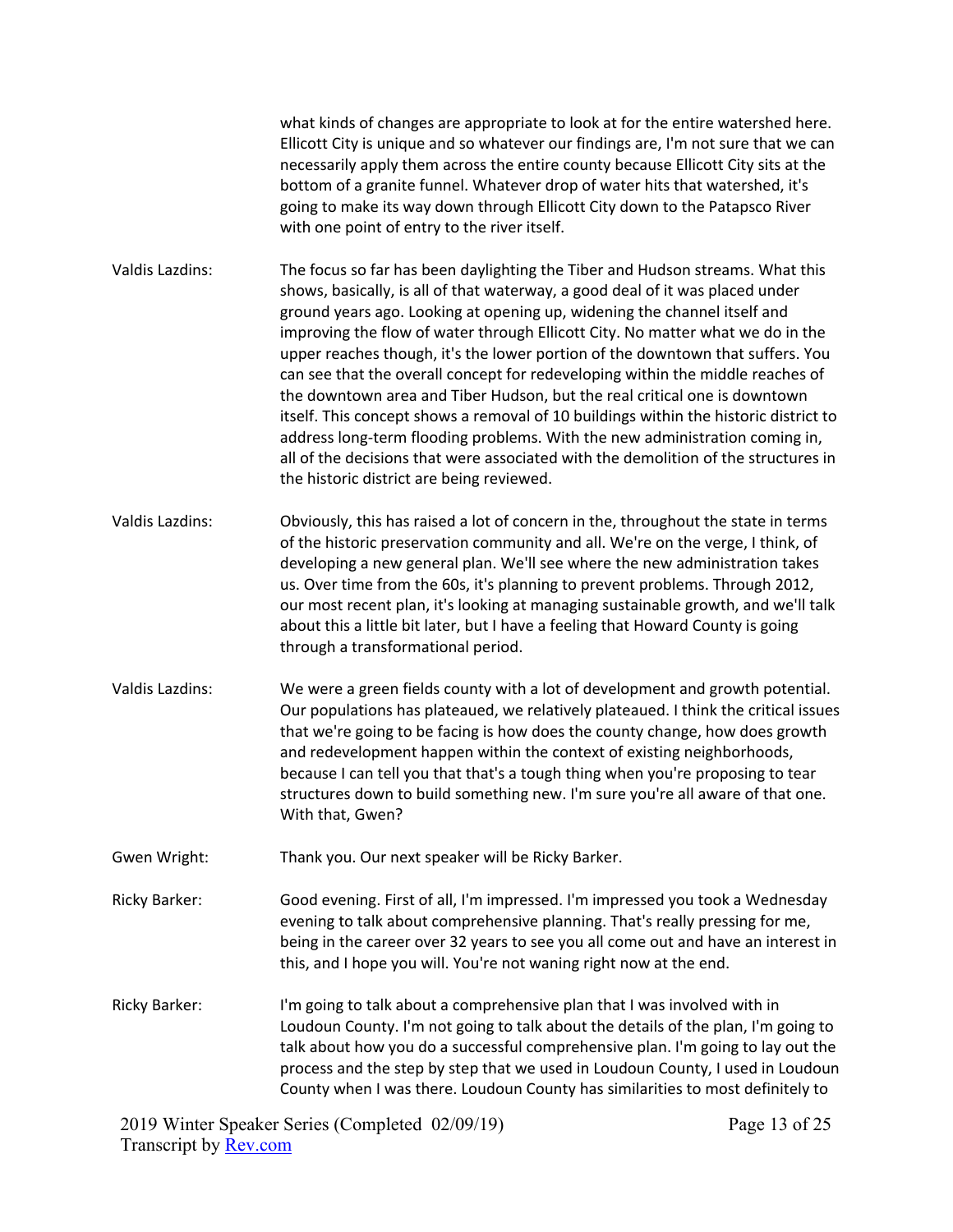what kinds of changes are appropriate to look at for the entire watershed here. Ellicott City is unique and so whatever our findings are, I'm not sure that we can necessarily apply them across the entire county because Ellicott City sits at the bottom of a granite funnel. Whatever drop of water hits that watershed, it's going to make its way down through Ellicott City down to the Patapsco River with one point of entry to the river itself.

Valdis Lazdins: The focus so far has been daylighting the Tiber and Hudson streams. What this shows, basically, is all of that waterway, a good deal of it was placed under ground years ago. Looking at opening up, widening the channel itself and improving the flow of water through Ellicott City. No matter what we do in the upper reaches though, it's the lower portion of the downtown that suffers. You can see that the overall concept for redeveloping within the middle reaches of the downtown area and Tiber Hudson, but the real critical one is downtown itself. This concept shows a removal of 10 buildings within the historic district to address long-term flooding problems. With the new administration coming in, all of the decisions that were associated with the demolition of the structures in the historic district are being reviewed.

- Valdis Lazdins: Obviously, this has raised a lot of concern in the, throughout the state in terms of the historic preservation community and all. We're on the verge, I think, of developing a new general plan. We'll see where the new administration takes us. Over time from the 60s, it's planning to prevent problems. Through 2012, our most recent plan, it's looking at managing sustainable growth, and we'll talk about this a little bit later, but I have a feeling that Howard County is going through a transformational period.
- Valdis Lazdins: We were a green fields county with a lot of development and growth potential. Our populations has plateaued, we relatively plateaued. I think the critical issues that we're going to be facing is how does the county change, how does growth and redevelopment happen within the context of existing neighborhoods, because I can tell you that that's a tough thing when you're proposing to tear structures down to build something new. I'm sure you're all aware of that one. With that, Gwen?

Gwen Wright: Thank you. Our next speaker will be Ricky Barker.

Ricky Barker: Good evening. First of all, I'm impressed. I'm impressed you took a Wednesday evening to talk about comprehensive planning. That's really pressing for me, being in the career over 32 years to see you all come out and have an interest in this, and I hope you will. You're not waning right now at the end.

Ricky Barker: I'm going to talk about a comprehensive plan that I was involved with in Loudoun County. I'm not going to talk about the details of the plan, I'm going to talk about how you do a successful comprehensive plan. I'm going to lay out the process and the step by step that we used in Loudoun County, I used in Loudoun County when I was there. Loudoun County has similarities to most definitely to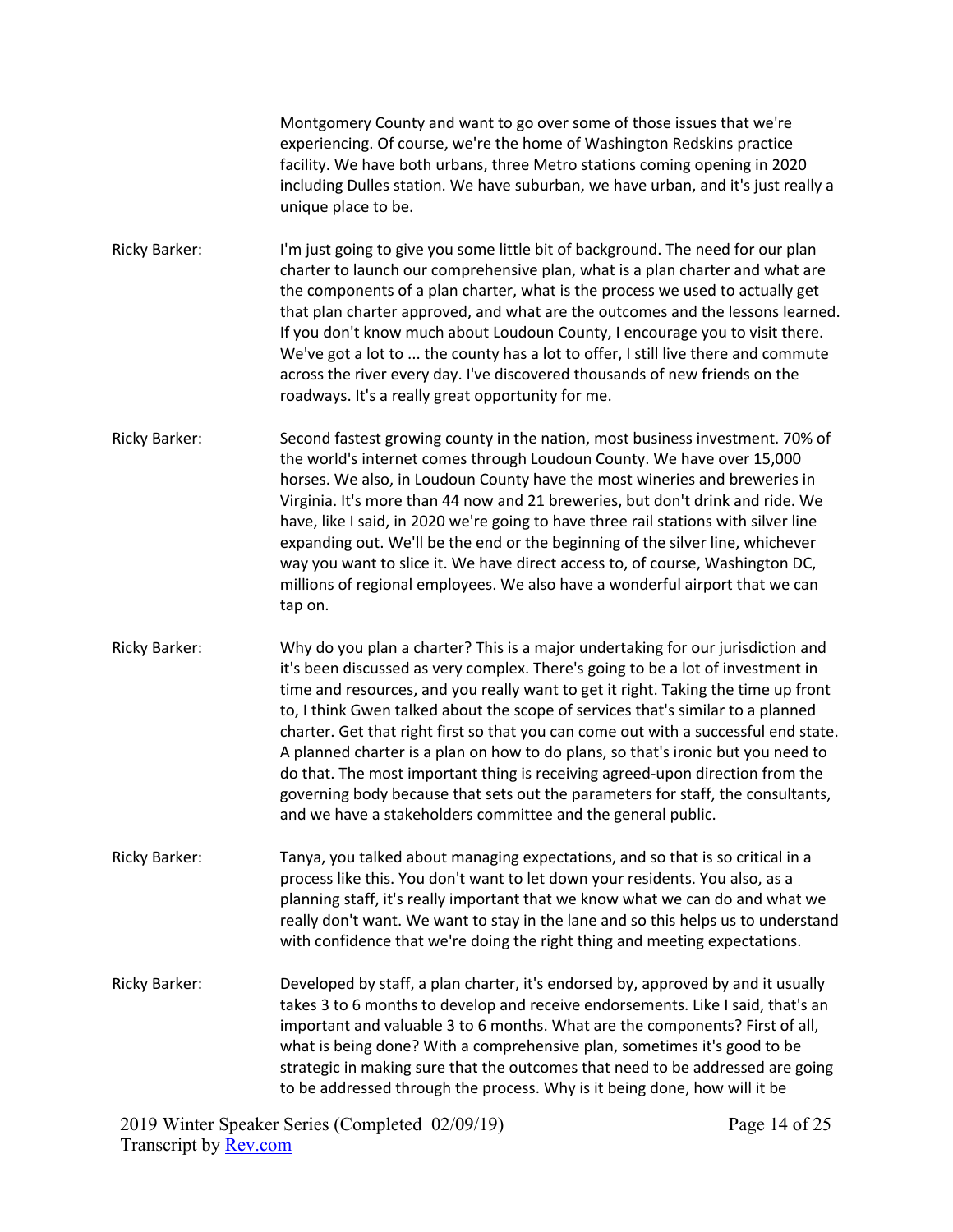Montgomery County and want to go over some of those issues that we're experiencing. Of course, we're the home of Washington Redskins practice facility. We have both urbans, three Metro stations coming opening in 2020 including Dulles station. We have suburban, we have urban, and it's just really a unique place to be.

Ricky Barker: I'm just going to give you some little bit of background. The need for our plan charter to launch our comprehensive plan, what is a plan charter and what are the components of a plan charter, what is the process we used to actually get that plan charter approved, and what are the outcomes and the lessons learned. If you don't know much about Loudoun County, I encourage you to visit there. We've got a lot to ... the county has a lot to offer, I still live there and commute across the river every day. I've discovered thousands of new friends on the roadways. It's a really great opportunity for me.

Ricky Barker: Second fastest growing county in the nation, most business investment. 70% of the world's internet comes through Loudoun County. We have over 15,000 horses. We also, in Loudoun County have the most wineries and breweries in Virginia. It's more than 44 now and 21 breweries, but don't drink and ride. We have, like I said, in 2020 we're going to have three rail stations with silver line expanding out. We'll be the end or the beginning of the silver line, whichever way you want to slice it. We have direct access to, of course, Washington DC, millions of regional employees. We also have a wonderful airport that we can tap on.

Ricky Barker: Why do you plan a charter? This is a major undertaking for our jurisdiction and it's been discussed as very complex. There's going to be a lot of investment in time and resources, and you really want to get it right. Taking the time up front to, I think Gwen talked about the scope of services that's similar to a planned charter. Get that right first so that you can come out with a successful end state. A planned charter is a plan on how to do plans, so that's ironic but you need to do that. The most important thing is receiving agreed-upon direction from the governing body because that sets out the parameters for staff, the consultants, and we have a stakeholders committee and the general public.

Ricky Barker: Tanya, you talked about managing expectations, and so that is so critical in a process like this. You don't want to let down your residents. You also, as a planning staff, it's really important that we know what we can do and what we really don't want. We want to stay in the lane and so this helps us to understand with confidence that we're doing the right thing and meeting expectations.

Ricky Barker: Developed by staff, a plan charter, it's endorsed by, approved by and it usually takes 3 to 6 months to develop and receive endorsements. Like I said, that's an important and valuable 3 to 6 months. What are the components? First of all, what is being done? With a comprehensive plan, sometimes it's good to be strategic in making sure that the outcomes that need to be addressed are going to be addressed through the process. Why is it being done, how will it be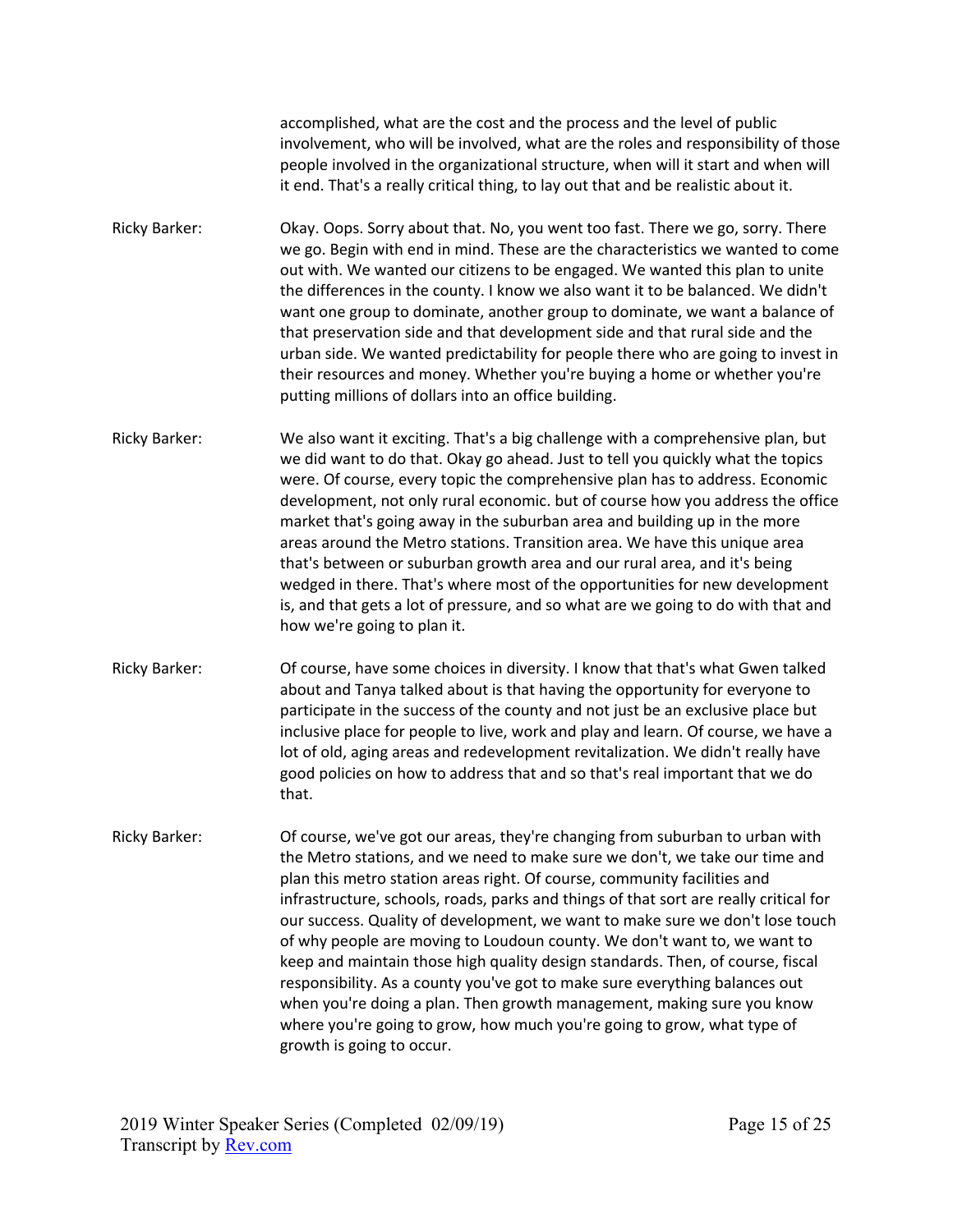accomplished, what are the cost and the process and the level of public involvement, who will be involved, what are the roles and responsibility of those people involved in the organizational structure, when will it start and when will it end. That's a really critical thing, to lay out that and be realistic about it.

- Ricky Barker: Okay. Oops. Sorry about that. No, you went too fast. There we go, sorry. There we go. Begin with end in mind. These are the characteristics we wanted to come out with. We wanted our citizens to be engaged. We wanted this plan to unite the differences in the county. I know we also want it to be balanced. We didn't want one group to dominate, another group to dominate, we want a balance of that preservation side and that development side and that rural side and the urban side. We wanted predictability for people there who are going to invest in their resources and money. Whether you're buying a home or whether you're putting millions of dollars into an office building.
- Ricky Barker: We also want it exciting. That's a big challenge with a comprehensive plan, but we did want to do that. Okay go ahead. Just to tell you quickly what the topics were. Of course, every topic the comprehensive plan has to address. Economic development, not only rural economic. but of course how you address the office market that's going away in the suburban area and building up in the more areas around the Metro stations. Transition area. We have this unique area that's between or suburban growth area and our rural area, and it's being wedged in there. That's where most of the opportunities for new development is, and that gets a lot of pressure, and so what are we going to do with that and how we're going to plan it.
- Ricky Barker: Of course, have some choices in diversity. I know that that's what Gwen talked about and Tanya talked about is that having the opportunity for everyone to participate in the success of the county and not just be an exclusive place but inclusive place for people to live, work and play and learn. Of course, we have a lot of old, aging areas and redevelopment revitalization. We didn't really have good policies on how to address that and so that's real important that we do that.
- Ricky Barker: Of course, we've got our areas, they're changing from suburban to urban with the Metro stations, and we need to make sure we don't, we take our time and plan this metro station areas right. Of course, community facilities and infrastructure, schools, roads, parks and things of that sort are really critical for our success. Quality of development, we want to make sure we don't lose touch of why people are moving to Loudoun county. We don't want to, we want to keep and maintain those high quality design standards. Then, of course, fiscal responsibility. As a county you've got to make sure everything balances out when you're doing a plan. Then growth management, making sure you know where you're going to grow, how much you're going to grow, what type of growth is going to occur.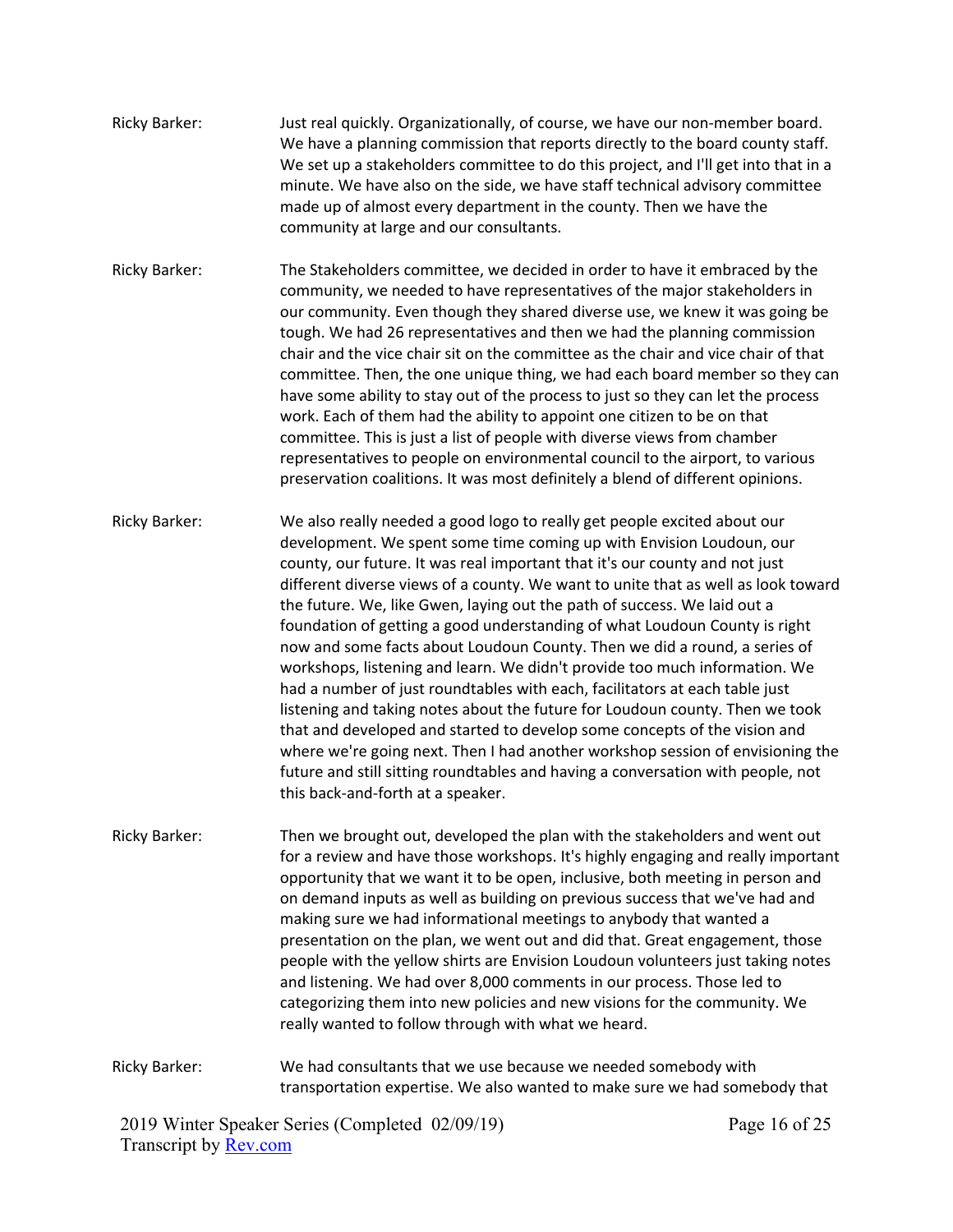- Ricky Barker: Just real quickly. Organizationally, of course, we have our non-member board. We have a planning commission that reports directly to the board county staff. We set up a stakeholders committee to do this project, and I'll get into that in a minute. We have also on the side, we have staff technical advisory committee made up of almost every department in the county. Then we have the community at large and our consultants.
- Ricky Barker: The Stakeholders committee, we decided in order to have it embraced by the community, we needed to have representatives of the major stakeholders in our community. Even though they shared diverse use, we knew it was going be tough. We had 26 representatives and then we had the planning commission chair and the vice chair sit on the committee as the chair and vice chair of that committee. Then, the one unique thing, we had each board member so they can have some ability to stay out of the process to just so they can let the process work. Each of them had the ability to appoint one citizen to be on that committee. This is just a list of people with diverse views from chamber representatives to people on environmental council to the airport, to various preservation coalitions. It was most definitely a blend of different opinions.
- Ricky Barker: We also really needed a good logo to really get people excited about our development. We spent some time coming up with Envision Loudoun, our county, our future. It was real important that it's our county and not just different diverse views of a county. We want to unite that as well as look toward the future. We, like Gwen, laying out the path of success. We laid out a foundation of getting a good understanding of what Loudoun County is right now and some facts about Loudoun County. Then we did a round, a series of workshops, listening and learn. We didn't provide too much information. We had a number of just roundtables with each, facilitators at each table just listening and taking notes about the future for Loudoun county. Then we took that and developed and started to develop some concepts of the vision and where we're going next. Then I had another workshop session of envisioning the future and still sitting roundtables and having a conversation with people, not this back-and-forth at a speaker.
- Ricky Barker: Then we brought out, developed the plan with the stakeholders and went out for a review and have those workshops. It's highly engaging and really important opportunity that we want it to be open, inclusive, both meeting in person and on demand inputs as well as building on previous success that we've had and making sure we had informational meetings to anybody that wanted a presentation on the plan, we went out and did that. Great engagement, those people with the yellow shirts are Envision Loudoun volunteers just taking notes and listening. We had over 8,000 comments in our process. Those led to categorizing them into new policies and new visions for the community. We really wanted to follow through with what we heard.

Ricky Barker: We had consultants that we use because we needed somebody with transportation expertise. We also wanted to make sure we had somebody that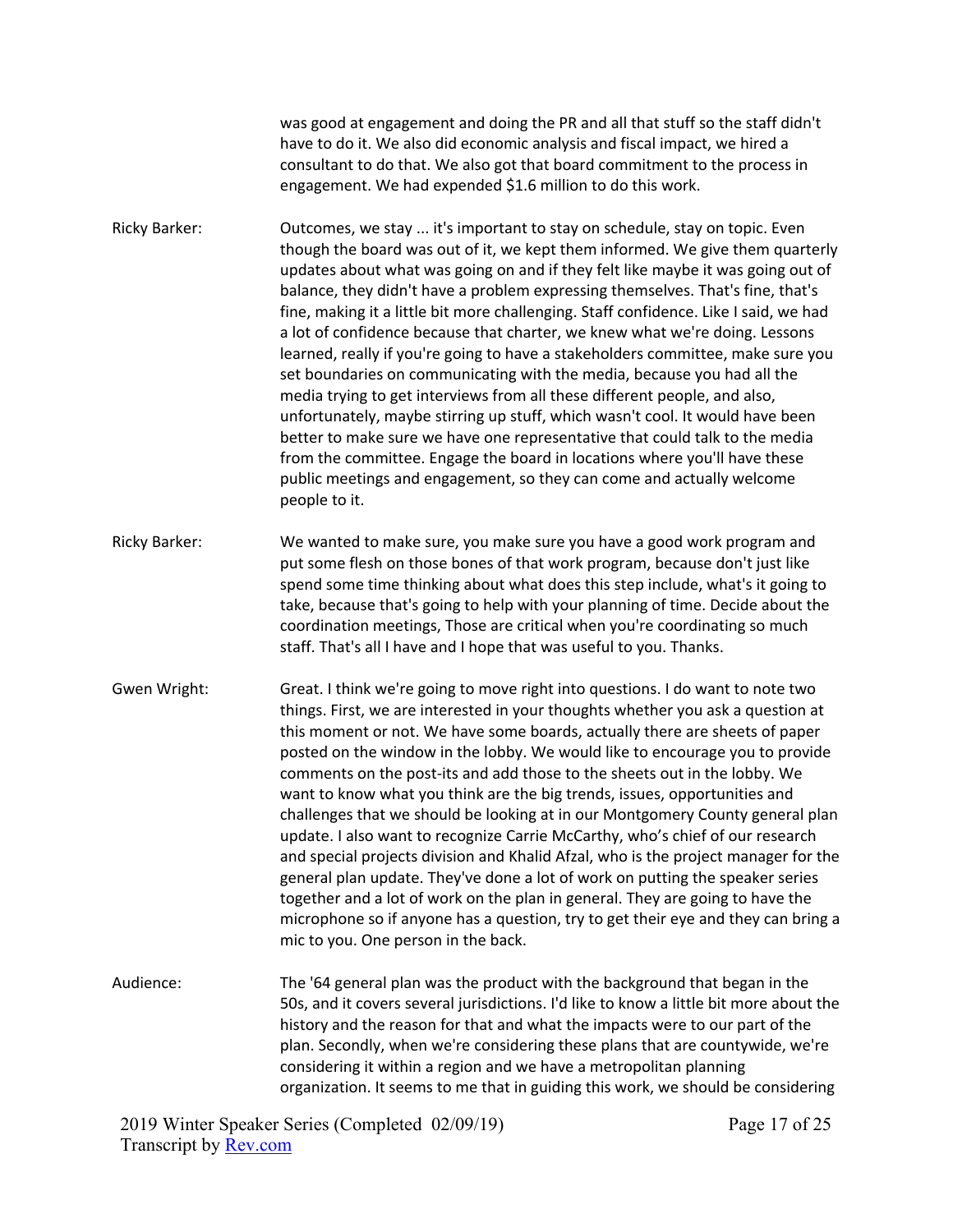was good at engagement and doing the PR and all that stuff so the staff didn't have to do it. We also did economic analysis and fiscal impact, we hired a consultant to do that. We also got that board commitment to the process in engagement. We had expended \$1.6 million to do this work.

Ricky Barker: Outcomes, we stay ... it's important to stay on schedule, stay on topic. Even though the board was out of it, we kept them informed. We give them quarterly updates about what was going on and if they felt like maybe it was going out of balance, they didn't have a problem expressing themselves. That's fine, that's fine, making it a little bit more challenging. Staff confidence. Like I said, we had a lot of confidence because that charter, we knew what we're doing. Lessons learned, really if you're going to have a stakeholders committee, make sure you set boundaries on communicating with the media, because you had all the media trying to get interviews from all these different people, and also, unfortunately, maybe stirring up stuff, which wasn't cool. It would have been better to make sure we have one representative that could talk to the media from the committee. Engage the board in locations where you'll have these public meetings and engagement, so they can come and actually welcome people to it.

- Ricky Barker: We wanted to make sure, you make sure you have a good work program and put some flesh on those bones of that work program, because don't just like spend some time thinking about what does this step include, what's it going to take, because that's going to help with your planning of time. Decide about the coordination meetings, Those are critical when you're coordinating so much staff. That's all I have and I hope that was useful to you. Thanks.
- Gwen Wright: Great. I think we're going to move right into questions. I do want to note two things. First, we are interested in your thoughts whether you ask a question at this moment or not. We have some boards, actually there are sheets of paper posted on the window in the lobby. We would like to encourage you to provide comments on the post-its and add those to the sheets out in the lobby. We want to know what you think are the big trends, issues, opportunities and challenges that we should be looking at in our Montgomery County general plan update. I also want to recognize Carrie McCarthy, who's chief of our research and special projects division and Khalid Afzal, who is the project manager for the general plan update. They've done a lot of work on putting the speaker series together and a lot of work on the plan in general. They are going to have the microphone so if anyone has a question, try to get their eye and they can bring a mic to you. One person in the back.
- Audience: The '64 general plan was the product with the background that began in the 50s, and it covers several jurisdictions. I'd like to know a little bit more about the history and the reason for that and what the impacts were to our part of the plan. Secondly, when we're considering these plans that are countywide, we're considering it within a region and we have a metropolitan planning organization. It seems to me that in guiding this work, we should be considering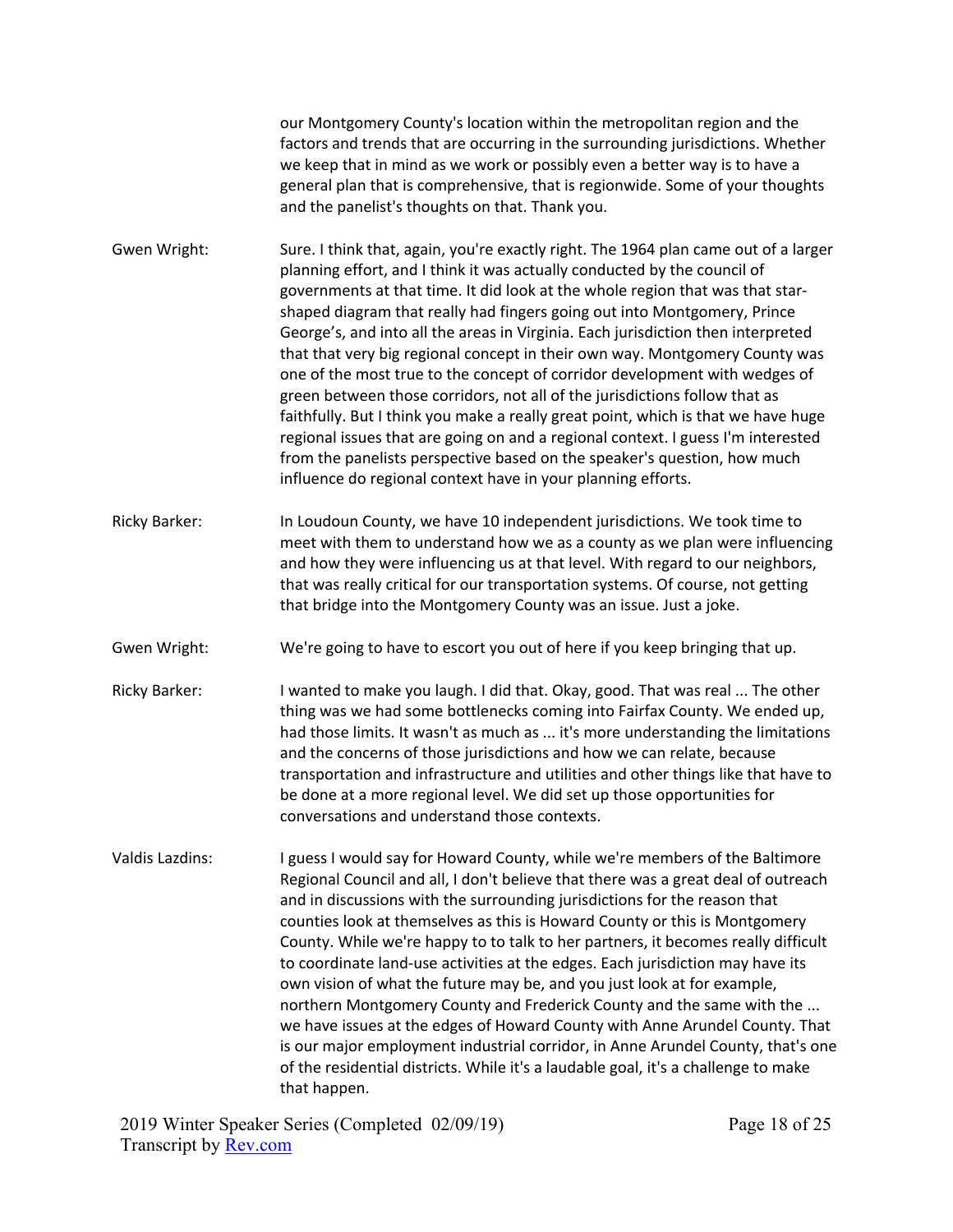our Montgomery County's location within the metropolitan region and the factors and trends that are occurring in the surrounding jurisdictions. Whether we keep that in mind as we work or possibly even a better way is to have a general plan that is comprehensive, that is regionwide. Some of your thoughts and the panelist's thoughts on that. Thank you.

Gwen Wright: Sure. I think that, again, you're exactly right. The 1964 plan came out of a larger planning effort, and I think it was actually conducted by the council of governments at that time. It did look at the whole region that was that starshaped diagram that really had fingers going out into Montgomery, Prince George's, and into all the areas in Virginia. Each jurisdiction then interpreted that that very big regional concept in their own way. Montgomery County was one of the most true to the concept of corridor development with wedges of green between those corridors, not all of the jurisdictions follow that as faithfully. But I think you make a really great point, which is that we have huge regional issues that are going on and a regional context. I guess I'm interested from the panelists perspective based on the speaker's question, how much influence do regional context have in your planning efforts.

- Ricky Barker: In Loudoun County, we have 10 independent jurisdictions. We took time to meet with them to understand how we as a county as we plan were influencing and how they were influencing us at that level. With regard to our neighbors, that was really critical for our transportation systems. Of course, not getting that bridge into the Montgomery County was an issue. Just a joke.
- Gwen Wright: We're going to have to escort you out of here if you keep bringing that up.
- Ricky Barker: I wanted to make you laugh. I did that. Okay, good. That was real ... The other thing was we had some bottlenecks coming into Fairfax County. We ended up, had those limits. It wasn't as much as ... it's more understanding the limitations and the concerns of those jurisdictions and how we can relate, because transportation and infrastructure and utilities and other things like that have to be done at a more regional level. We did set up those opportunities for conversations and understand those contexts.
- Valdis Lazdins: I guess I would say for Howard County, while we're members of the Baltimore Regional Council and all, I don't believe that there was a great deal of outreach and in discussions with the surrounding jurisdictions for the reason that counties look at themselves as this is Howard County or this is Montgomery County. While we're happy to to talk to her partners, it becomes really difficult to coordinate land-use activities at the edges. Each jurisdiction may have its own vision of what the future may be, and you just look at for example, northern Montgomery County and Frederick County and the same with the ... we have issues at the edges of Howard County with Anne Arundel County. That is our major employment industrial corridor, in Anne Arundel County, that's one of the residential districts. While it's a laudable goal, it's a challenge to make that happen.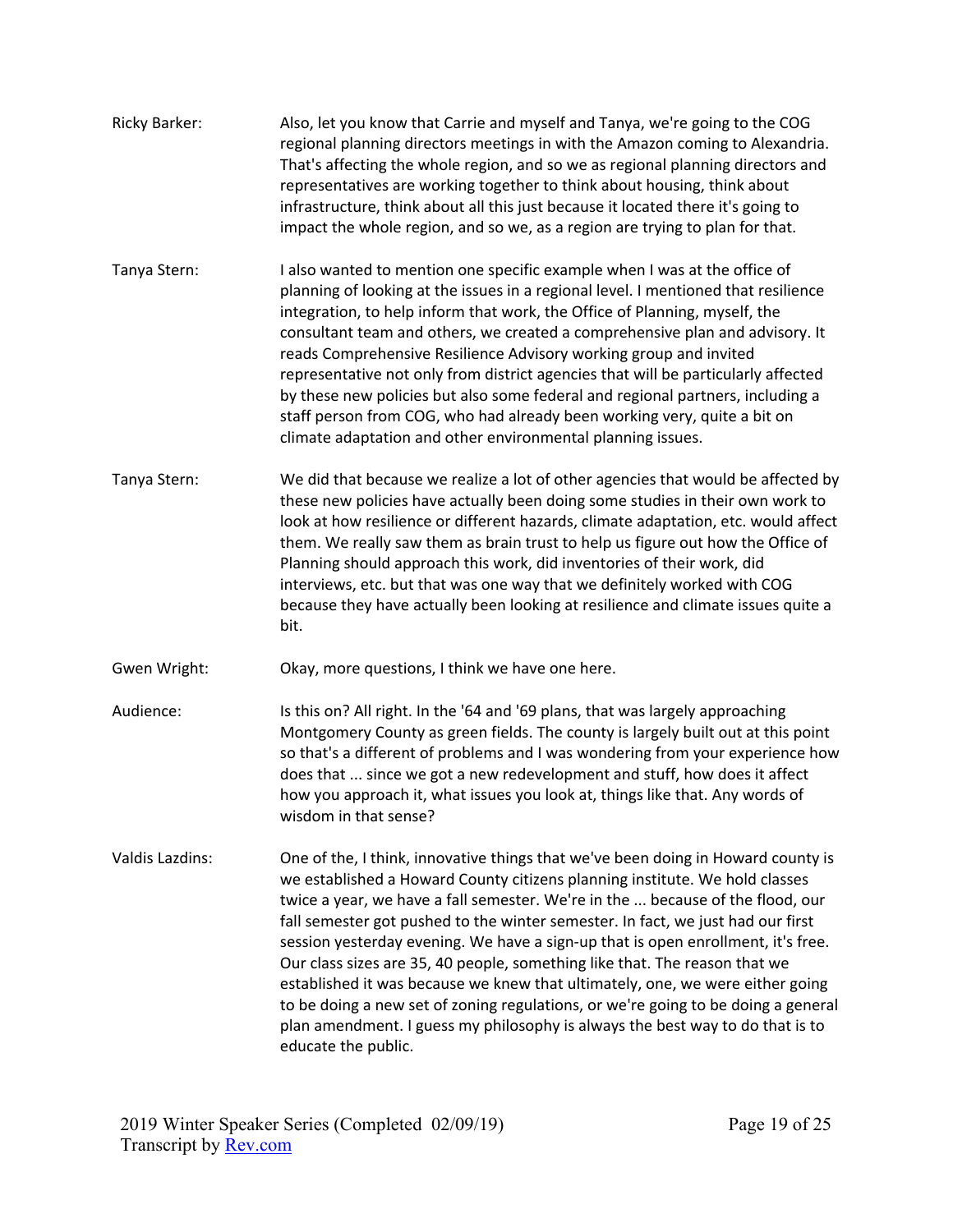| <b>Ricky Barker:</b> | Also, let you know that Carrie and myself and Tanya, we're going to the COG<br>regional planning directors meetings in with the Amazon coming to Alexandria.<br>That's affecting the whole region, and so we as regional planning directors and<br>representatives are working together to think about housing, think about<br>infrastructure, think about all this just because it located there it's going to<br>impact the whole region, and so we, as a region are trying to plan for that.                                                                                                                                                                                                                                                                                      |
|----------------------|--------------------------------------------------------------------------------------------------------------------------------------------------------------------------------------------------------------------------------------------------------------------------------------------------------------------------------------------------------------------------------------------------------------------------------------------------------------------------------------------------------------------------------------------------------------------------------------------------------------------------------------------------------------------------------------------------------------------------------------------------------------------------------------|
| Tanya Stern:         | I also wanted to mention one specific example when I was at the office of<br>planning of looking at the issues in a regional level. I mentioned that resilience<br>integration, to help inform that work, the Office of Planning, myself, the<br>consultant team and others, we created a comprehensive plan and advisory. It<br>reads Comprehensive Resilience Advisory working group and invited<br>representative not only from district agencies that will be particularly affected<br>by these new policies but also some federal and regional partners, including a<br>staff person from COG, who had already been working very, quite a bit on<br>climate adaptation and other environmental planning issues.                                                                 |
| Tanya Stern:         | We did that because we realize a lot of other agencies that would be affected by<br>these new policies have actually been doing some studies in their own work to<br>look at how resilience or different hazards, climate adaptation, etc. would affect<br>them. We really saw them as brain trust to help us figure out how the Office of<br>Planning should approach this work, did inventories of their work, did<br>interviews, etc. but that was one way that we definitely worked with COG<br>because they have actually been looking at resilience and climate issues quite a<br>bit.                                                                                                                                                                                         |
| Gwen Wright:         | Okay, more questions, I think we have one here.                                                                                                                                                                                                                                                                                                                                                                                                                                                                                                                                                                                                                                                                                                                                      |
| Audience:            | Is this on? All right. In the '64 and '69 plans, that was largely approaching<br>Montgomery County as green fields. The county is largely built out at this point<br>so that's a different of problems and I was wondering from your experience how<br>does that  since we got a new redevelopment and stuff, how does it affect<br>how you approach it, what issues you look at, things like that. Any words of<br>wisdom in that sense?                                                                                                                                                                                                                                                                                                                                            |
| Valdis Lazdins:      | One of the, I think, innovative things that we've been doing in Howard county is<br>we established a Howard County citizens planning institute. We hold classes<br>twice a year, we have a fall semester. We're in the  because of the flood, our<br>fall semester got pushed to the winter semester. In fact, we just had our first<br>session yesterday evening. We have a sign-up that is open enrollment, it's free.<br>Our class sizes are 35, 40 people, something like that. The reason that we<br>established it was because we knew that ultimately, one, we were either going<br>to be doing a new set of zoning regulations, or we're going to be doing a general<br>plan amendment. I guess my philosophy is always the best way to do that is to<br>educate the public. |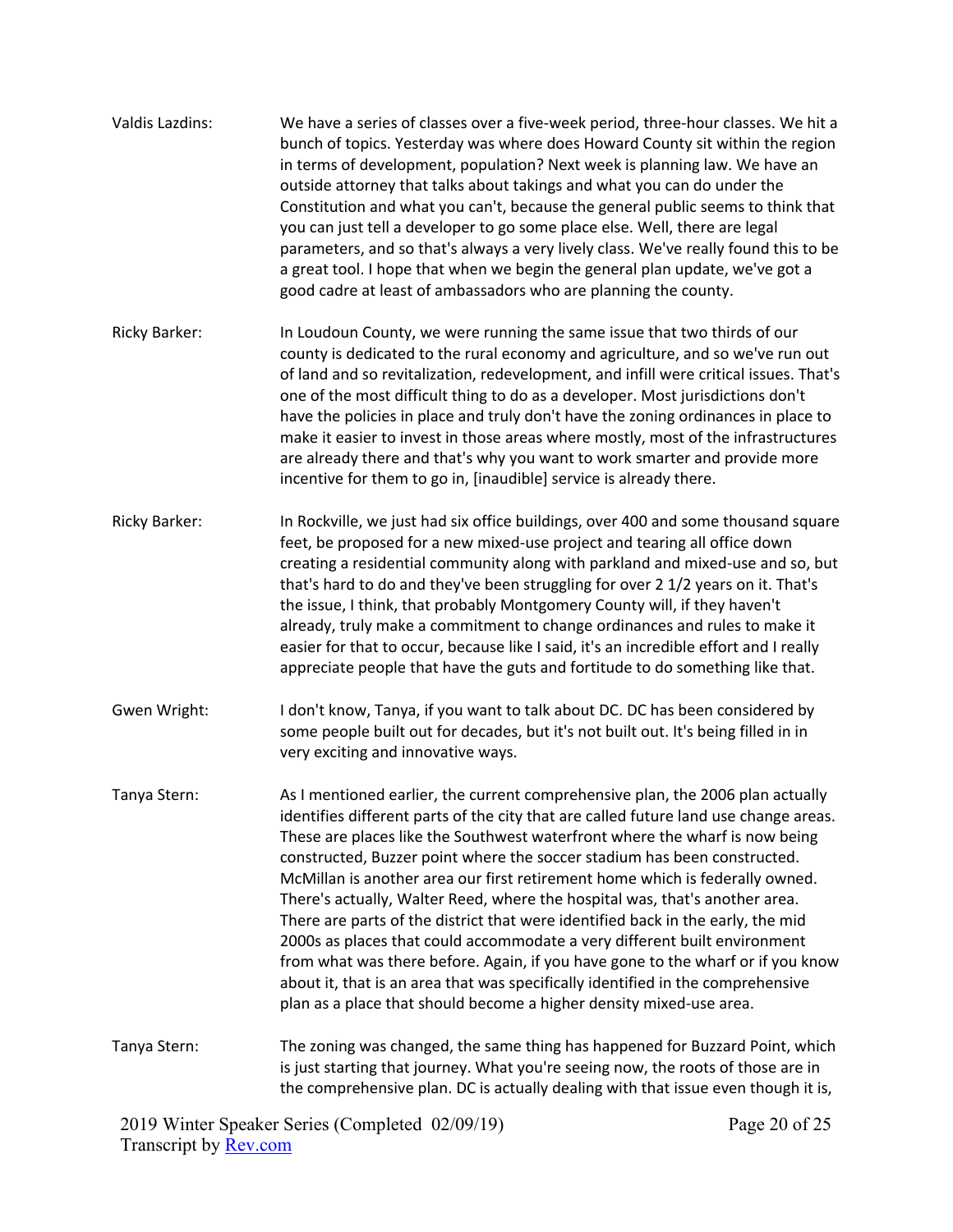| <b>Valdis Lazdins:</b> | We have a series of classes over a five-week period, three-hour classes. We hit a<br>bunch of topics. Yesterday was where does Howard County sit within the region<br>in terms of development, population? Next week is planning law. We have an<br>outside attorney that talks about takings and what you can do under the<br>Constitution and what you can't, because the general public seems to think that<br>you can just tell a developer to go some place else. Well, there are legal<br>parameters, and so that's always a very lively class. We've really found this to be<br>a great tool. I hope that when we begin the general plan update, we've got a<br>good cadre at least of ambassadors who are planning the county.                                                                                                                                                                        |
|------------------------|---------------------------------------------------------------------------------------------------------------------------------------------------------------------------------------------------------------------------------------------------------------------------------------------------------------------------------------------------------------------------------------------------------------------------------------------------------------------------------------------------------------------------------------------------------------------------------------------------------------------------------------------------------------------------------------------------------------------------------------------------------------------------------------------------------------------------------------------------------------------------------------------------------------|
| <b>Ricky Barker:</b>   | In Loudoun County, we were running the same issue that two thirds of our<br>county is dedicated to the rural economy and agriculture, and so we've run out<br>of land and so revitalization, redevelopment, and infill were critical issues. That's<br>one of the most difficult thing to do as a developer. Most jurisdictions don't<br>have the policies in place and truly don't have the zoning ordinances in place to<br>make it easier to invest in those areas where mostly, most of the infrastructures<br>are already there and that's why you want to work smarter and provide more<br>incentive for them to go in, [inaudible] service is already there.                                                                                                                                                                                                                                           |
| <b>Ricky Barker:</b>   | In Rockville, we just had six office buildings, over 400 and some thousand square<br>feet, be proposed for a new mixed-use project and tearing all office down<br>creating a residential community along with parkland and mixed-use and so, but<br>that's hard to do and they've been struggling for over 2 1/2 years on it. That's<br>the issue, I think, that probably Montgomery County will, if they haven't<br>already, truly make a commitment to change ordinances and rules to make it<br>easier for that to occur, because like I said, it's an incredible effort and I really<br>appreciate people that have the guts and fortitude to do something like that.                                                                                                                                                                                                                                     |
| Gwen Wright:           | I don't know, Tanya, if you want to talk about DC. DC has been considered by<br>some people built out for decades, but it's not built out. It's being filled in in<br>very exciting and innovative ways.                                                                                                                                                                                                                                                                                                                                                                                                                                                                                                                                                                                                                                                                                                      |
| Tanya Stern:           | As I mentioned earlier, the current comprehensive plan, the 2006 plan actually<br>identifies different parts of the city that are called future land use change areas.<br>These are places like the Southwest waterfront where the wharf is now being<br>constructed, Buzzer point where the soccer stadium has been constructed.<br>McMillan is another area our first retirement home which is federally owned.<br>There's actually, Walter Reed, where the hospital was, that's another area.<br>There are parts of the district that were identified back in the early, the mid<br>2000s as places that could accommodate a very different built environment<br>from what was there before. Again, if you have gone to the wharf or if you know<br>about it, that is an area that was specifically identified in the comprehensive<br>plan as a place that should become a higher density mixed-use area. |
| Tanya Stern:           | The zoning was changed, the same thing has happened for Buzzard Point, which<br>is just starting that journey. What you're seeing now, the roots of those are in<br>the comprehensive plan. DC is actually dealing with that issue even though it is,                                                                                                                                                                                                                                                                                                                                                                                                                                                                                                                                                                                                                                                         |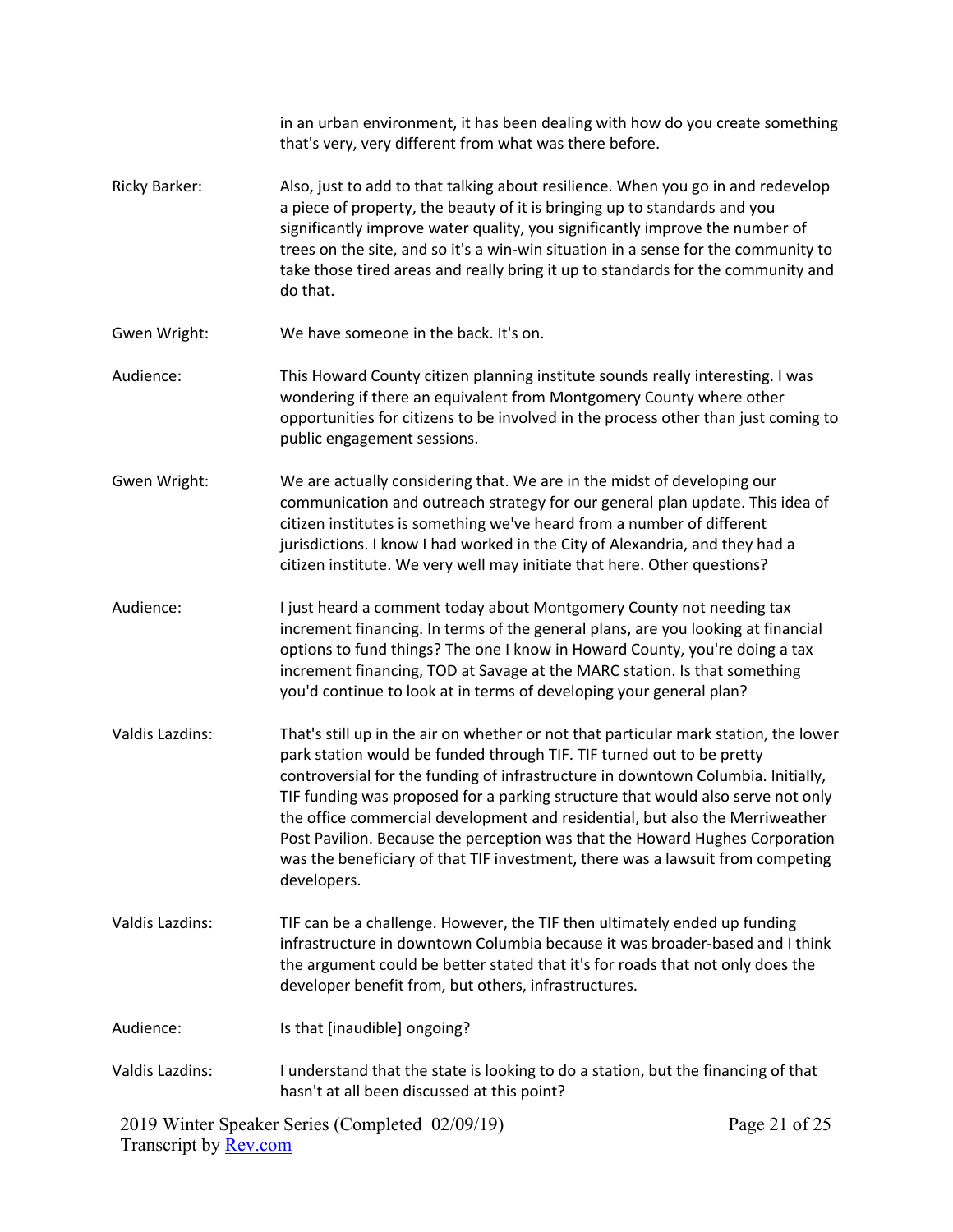|                        | in an urban environment, it has been dealing with how do you create something<br>that's very, very different from what was there before.                                                                                                                                                                                                                                                                                                                                                                                                                                                              |               |
|------------------------|-------------------------------------------------------------------------------------------------------------------------------------------------------------------------------------------------------------------------------------------------------------------------------------------------------------------------------------------------------------------------------------------------------------------------------------------------------------------------------------------------------------------------------------------------------------------------------------------------------|---------------|
| <b>Ricky Barker:</b>   | Also, just to add to that talking about resilience. When you go in and redevelop<br>a piece of property, the beauty of it is bringing up to standards and you<br>significantly improve water quality, you significantly improve the number of<br>trees on the site, and so it's a win-win situation in a sense for the community to<br>take those tired areas and really bring it up to standards for the community and<br>do that.                                                                                                                                                                   |               |
| Gwen Wright:           | We have someone in the back. It's on.                                                                                                                                                                                                                                                                                                                                                                                                                                                                                                                                                                 |               |
| Audience:              | This Howard County citizen planning institute sounds really interesting. I was<br>wondering if there an equivalent from Montgomery County where other<br>opportunities for citizens to be involved in the process other than just coming to<br>public engagement sessions.                                                                                                                                                                                                                                                                                                                            |               |
| Gwen Wright:           | We are actually considering that. We are in the midst of developing our<br>communication and outreach strategy for our general plan update. This idea of<br>citizen institutes is something we've heard from a number of different<br>jurisdictions. I know I had worked in the City of Alexandria, and they had a<br>citizen institute. We very well may initiate that here. Other questions?                                                                                                                                                                                                        |               |
| Audience:              | I just heard a comment today about Montgomery County not needing tax<br>increment financing. In terms of the general plans, are you looking at financial<br>options to fund things? The one I know in Howard County, you're doing a tax<br>increment financing, TOD at Savage at the MARC station. Is that something<br>you'd continue to look at in terms of developing your general plan?                                                                                                                                                                                                           |               |
| <b>Valdis Lazdins:</b> | That's still up in the air on whether or not that particular mark station, the lower<br>park station would be funded through TIF. TIF turned out to be pretty<br>controversial for the funding of infrastructure in downtown Columbia. Initially,<br>TIF funding was proposed for a parking structure that would also serve not only<br>the office commercial development and residential, but also the Merriweather<br>Post Pavilion. Because the perception was that the Howard Hughes Corporation<br>was the beneficiary of that TIF investment, there was a lawsuit from competing<br>developers. |               |
| <b>Valdis Lazdins:</b> | TIF can be a challenge. However, the TIF then ultimately ended up funding<br>infrastructure in downtown Columbia because it was broader-based and I think<br>the argument could be better stated that it's for roads that not only does the<br>developer benefit from, but others, infrastructures.                                                                                                                                                                                                                                                                                                   |               |
| Audience:              | Is that [inaudible] ongoing?                                                                                                                                                                                                                                                                                                                                                                                                                                                                                                                                                                          |               |
| <b>Valdis Lazdins:</b> | I understand that the state is looking to do a station, but the financing of that<br>hasn't at all been discussed at this point?                                                                                                                                                                                                                                                                                                                                                                                                                                                                      |               |
|                        | 2019 Winter Speaker Series (Completed 02/09/19)                                                                                                                                                                                                                                                                                                                                                                                                                                                                                                                                                       | Page 21 of 25 |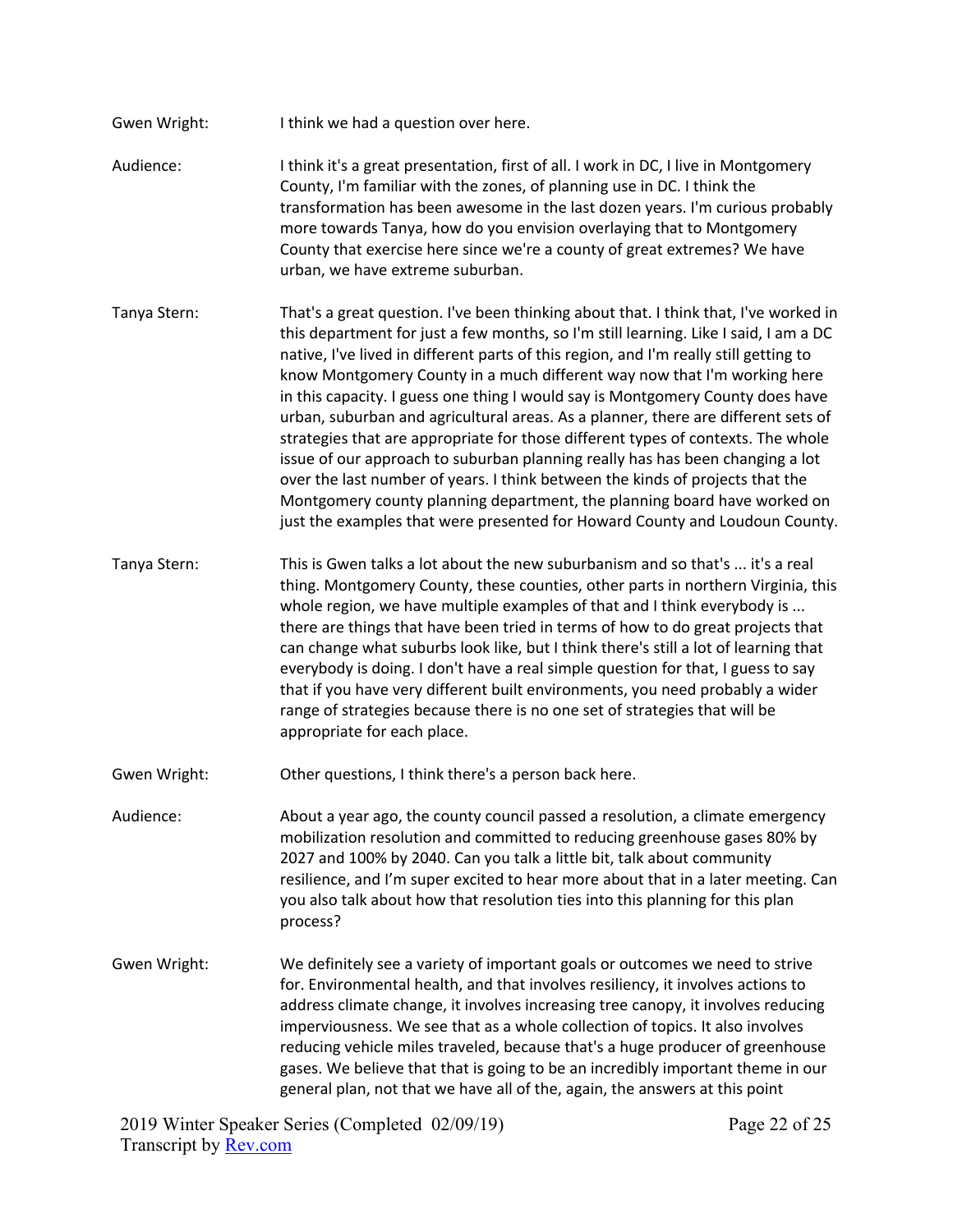- Gwen Wright: I think we had a question over here.
- Audience: I think it's a great presentation, first of all. I work in DC, I live in Montgomery County, I'm familiar with the zones, of planning use in DC. I think the transformation has been awesome in the last dozen years. I'm curious probably more towards Tanya, how do you envision overlaying that to Montgomery County that exercise here since we're a county of great extremes? We have urban, we have extreme suburban.
- Tanya Stern: That's a great question. I've been thinking about that. I think that, I've worked in this department for just a few months, so I'm still learning. Like I said, I am a DC native, I've lived in different parts of this region, and I'm really still getting to know Montgomery County in a much different way now that I'm working here in this capacity. I guess one thing I would say is Montgomery County does have urban, suburban and agricultural areas. As a planner, there are different sets of strategies that are appropriate for those different types of contexts. The whole issue of our approach to suburban planning really has has been changing a lot over the last number of years. I think between the kinds of projects that the Montgomery county planning department, the planning board have worked on just the examples that were presented for Howard County and Loudoun County.
- Tanya Stern: This is Gwen talks a lot about the new suburbanism and so that's ... it's a real thing. Montgomery County, these counties, other parts in northern Virginia, this whole region, we have multiple examples of that and I think everybody is ... there are things that have been tried in terms of how to do great projects that can change what suburbs look like, but I think there's still a lot of learning that everybody is doing. I don't have a real simple question for that, I guess to say that if you have very different built environments, you need probably a wider range of strategies because there is no one set of strategies that will be appropriate for each place.
- Gwen Wright: Other questions, I think there's a person back here.

Audience: About a year ago, the county council passed a resolution, a climate emergency mobilization resolution and committed to reducing greenhouse gases 80% by 2027 and 100% by 2040. Can you talk a little bit, talk about community resilience, and I'm super excited to hear more about that in a later meeting. Can you also talk about how that resolution ties into this planning for this plan process?

Gwen Wright: We definitely see a variety of important goals or outcomes we need to strive for. Environmental health, and that involves resiliency, it involves actions to address climate change, it involves increasing tree canopy, it involves reducing imperviousness. We see that as a whole collection of topics. It also involves reducing vehicle miles traveled, because that's a huge producer of greenhouse gases. We believe that that is going to be an incredibly important theme in our general plan, not that we have all of the, again, the answers at this point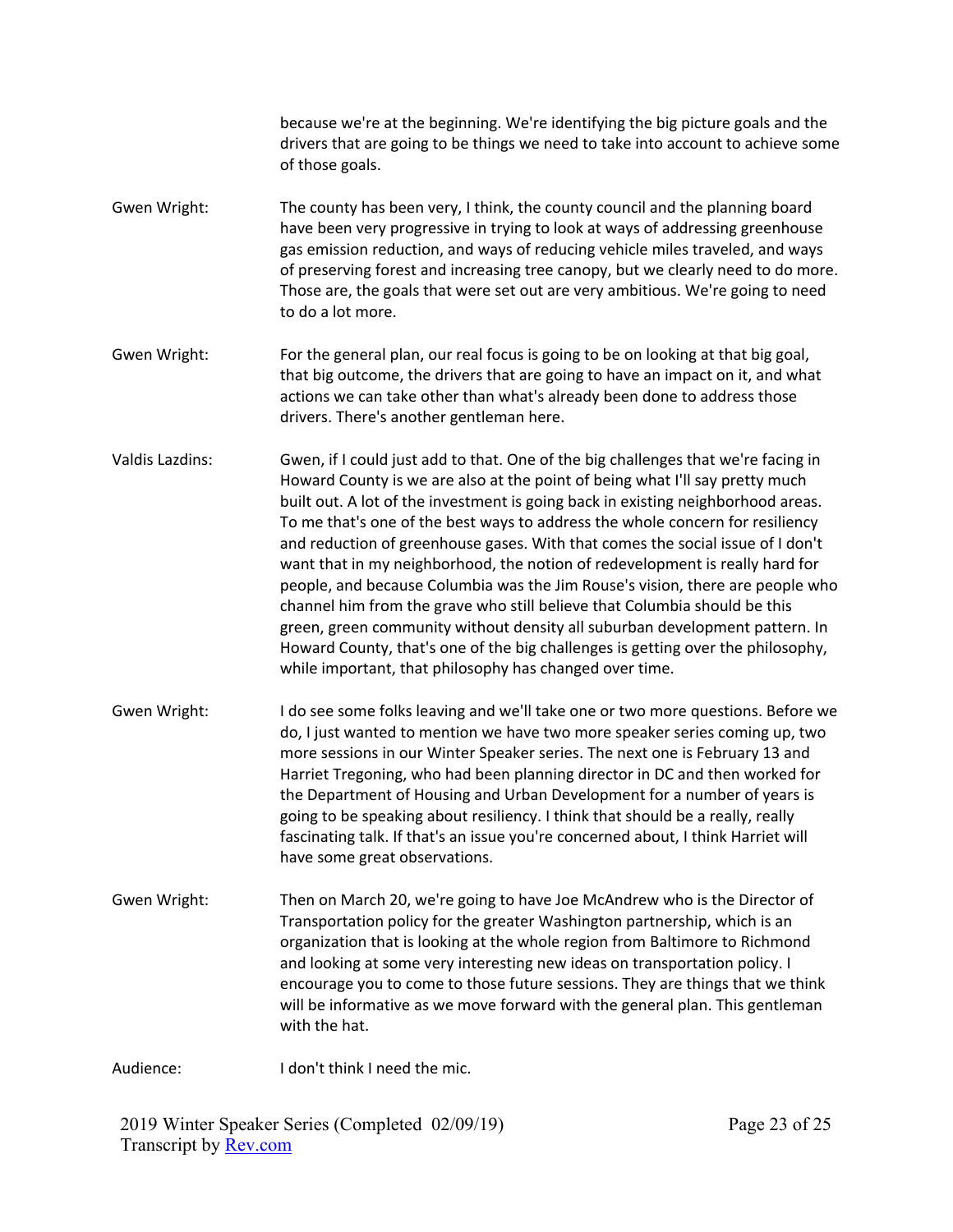because we're at the beginning. We're identifying the big picture goals and the drivers that are going to be things we need to take into account to achieve some of those goals.

- Gwen Wright: The county has been very, I think, the county council and the planning board have been very progressive in trying to look at ways of addressing greenhouse gas emission reduction, and ways of reducing vehicle miles traveled, and ways of preserving forest and increasing tree canopy, but we clearly need to do more. Those are, the goals that were set out are very ambitious. We're going to need to do a lot more.
- Gwen Wright: For the general plan, our real focus is going to be on looking at that big goal, that big outcome, the drivers that are going to have an impact on it, and what actions we can take other than what's already been done to address those drivers. There's another gentleman here.
- Valdis Lazdins: Gwen, if I could just add to that. One of the big challenges that we're facing in Howard County is we are also at the point of being what I'll say pretty much built out. A lot of the investment is going back in existing neighborhood areas. To me that's one of the best ways to address the whole concern for resiliency and reduction of greenhouse gases. With that comes the social issue of I don't want that in my neighborhood, the notion of redevelopment is really hard for people, and because Columbia was the Jim Rouse's vision, there are people who channel him from the grave who still believe that Columbia should be this green, green community without density all suburban development pattern. In Howard County, that's one of the big challenges is getting over the philosophy, while important, that philosophy has changed over time.
- Gwen Wright: I do see some folks leaving and we'll take one or two more questions. Before we do, I just wanted to mention we have two more speaker series coming up, two more sessions in our Winter Speaker series. The next one is February 13 and Harriet Tregoning, who had been planning director in DC and then worked for the Department of Housing and Urban Development for a number of years is going to be speaking about resiliency. I think that should be a really, really fascinating talk. If that's an issue you're concerned about, I think Harriet will have some great observations.
- Gwen Wright: Then on March 20, we're going to have Joe McAndrew who is the Director of Transportation policy for the greater Washington partnership, which is an organization that is looking at the whole region from Baltimore to Richmond and looking at some very interesting new ideas on transportation policy. I encourage you to come to those future sessions. They are things that we think will be informative as we move forward with the general plan. This gentleman with the hat.

Audience: I don't think I need the mic.